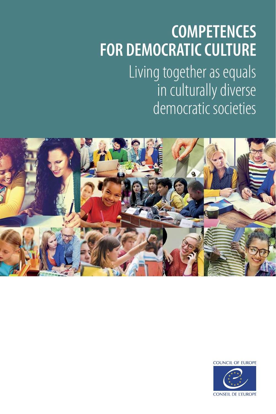# **COMPETENCES FOR DEMOCRATIC CULTURE**

Living together as equals in culturally diverse democratic societies



**COUNCIL OF EUROPE** 

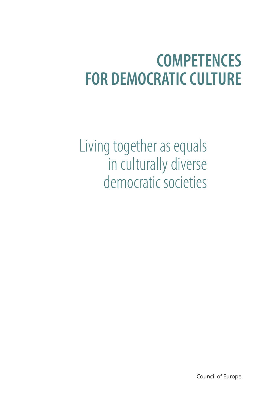## **COMPETENCES FOR DEMOCRATIC CULTURE**

Living together as equals in culturally diverse democratic societies

Council of Europe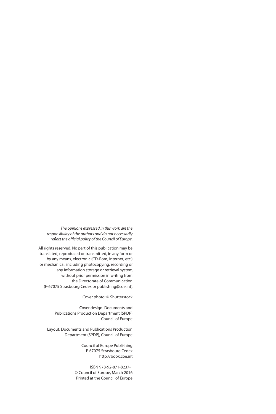*The opinions expressed in this work are the responsibility of the authors and do not necessarily reflect the official policy of the Council of Europe..* 

All rights reserved. No part of this publication may be translated, reproduced or transmitted, in any form or by any means, electronic (CD-Rom, Internet, etc.) or mechanical, including photocopying, recording or any information storage or retrieval system, without prior permission in writing from the Directorate of Communication (F-67075 Strasbourg Cedex or publishing@coe.int).

Cover photo: © Shutterstock

Cover design: Documents and Publications Production Department (SPDP), Council of Europe

Layout: Documents and Publications Production Department (SPDP), Council of Europe

> Council of Europe Publishing F-67075 Strasbourg Cedex http://book.coe.int

ISBN 978-92-871-8237-1 © Council of Europe, March 2016 Printed at the Council of Europe

 $\overline{1}$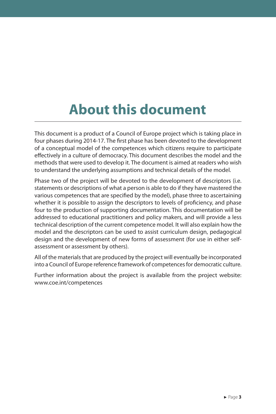## **About this document**

This document is a product of a Council of Europe project which is taking place in four phases during 2014-17. The first phase has been devoted to the development of a conceptual model of the competences which citizens require to participate effectively in a culture of democracy. This document describes the model and the methods that were used to develop it. The document is aimed at readers who wish to understand the underlying assumptions and technical details of the model.

Phase two of the project will be devoted to the development of descriptors (i.e. statements or descriptions of what a person is able to do if they have mastered the various competences that are specified by the model), phase three to ascertaining whether it is possible to assign the descriptors to levels of proficiency, and phase four to the production of supporting documentation. This documentation will be addressed to educational practitioners and policy makers, and will provide a less technical description of the current competence model. It will also explain how the model and the descriptors can be used to assist curriculum design, pedagogical design and the development of new forms of assessment (for use in either selfassessment or assessment by others).

All of the materials that are produced by the project will eventually be incorporated into a Council of Europe reference framework of competences for democratic culture.

Further information about the project is available from the project website: www.coe.int/competences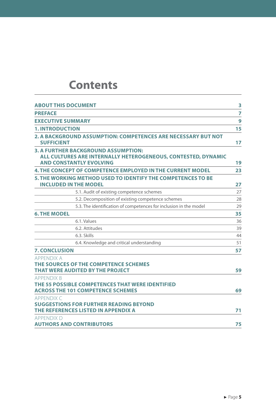### **Contents**

| <b>ABOUT THIS DOCUMENT</b>                                                                                                                    | 3  |
|-----------------------------------------------------------------------------------------------------------------------------------------------|----|
| <b>PREFACE</b>                                                                                                                                | 7  |
| <b>EXECUTIVE SUMMARY</b>                                                                                                                      | 9  |
| <b>1. INTRODUCTION</b>                                                                                                                        | 15 |
| 2. A BACKGROUND ASSUMPTION: COMPETENCES ARE NECESSARY BUT NOT<br><b>SUFFICIENT</b>                                                            | 17 |
| <b>3. A FURTHER BACKGROUND ASSUMPTION:</b><br>ALL CULTURES ARE INTERNALLY HETEROGENEOUS, CONTESTED, DYNAMIC<br><b>AND CONSTANTLY EVOLVING</b> | 19 |
| <b>4. THE CONCEPT OF COMPETENCE EMPLOYED IN THE CURRENT MODEL</b>                                                                             | 23 |
| 5. THE WORKING METHOD USED TO IDENTIFY THE COMPETENCES TO BE<br><b>INCLUDED IN THE MODEL</b>                                                  | 27 |
| 5.1. Audit of existing competence schemes                                                                                                     | 27 |
| 5.2. Decomposition of existing competence schemes                                                                                             | 28 |
| 5.3. The identification of competences for inclusion in the model                                                                             | 29 |
| <b>6. THE MODEL</b>                                                                                                                           | 35 |
| 6.1. Values                                                                                                                                   | 36 |
| 6.2. Attitudes                                                                                                                                | 39 |
| 6.3. Skills                                                                                                                                   | 44 |
| 6.4. Knowledge and critical understanding                                                                                                     | 51 |
| <b>7. CONCLUSION</b>                                                                                                                          | 57 |
| <b>APPENDIX A</b><br>THE SOURCES OF THE COMPETENCE SCHEMES<br>THAT WERE AUDITED BY THE PROJECT                                                | 59 |
| <b>APPENDIX B</b>                                                                                                                             |    |
| THE 55 POSSIBLE COMPETENCES THAT WERE IDENTIFIED<br><b>ACROSS THE 101 COMPETENCE SCHEMES</b>                                                  | 69 |
| <b>APPENDIX C</b><br><b>SUGGESTIONS FOR FURTHER READING BEYOND</b><br>THE REFERENCES LISTED IN APPENDIX A                                     | 71 |
| APPENDIX D<br><b>AUTHORS AND CONTRIBUTORS</b>                                                                                                 | 75 |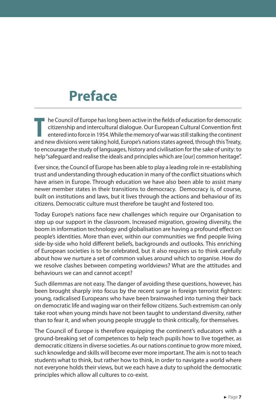### **Preface**

**T** ■ he Council of Europe has long been active in the fields of education for democratic citizenship and intercultural dialogue. Our European Cultural Convention first entered into force in 1954. While the memory of war was still stalking the continent and new divisions were taking hold, Europe's nations states agreed, through this Treaty, to encourage the study of languages, history and civilisation for the sake of unity: to help "safeguard and realise the ideals and principles which are [our] common heritage".

Ever since, the Council of Europe has been able to play a leading role in re-establishing trust and understanding through education in many of the conflict situations which have arisen in Europe. Through education we have also been able to assist many newer member states in their transitions to democracy. Democracy is, of course, built on institutions and laws, but it lives through the actions and behaviour of its citizens. Democratic culture must therefore be taught and fostered too.

Today Europe's nations face new challenges which require our Organisation to step up our support in the classroom. Increased migration, growing diversity, the boom in information technology and globalisation are having a profound effect on people's identities. More than ever, within our communities we find people living side-by-side who hold different beliefs, backgrounds and outlooks. This enriching of European societies is to be celebrated, but it also requires us to think carefully about how we nurture a set of common values around which to organise. How do we resolve clashes between competing worldviews? What are the attitudes and behaviours we can and cannot accept?

Such dilemmas are not easy. The danger of avoiding these questions, however, has been brought sharply into focus by the recent surge in foreign terrorist fighters: young, radicalised Europeans who have been brainwashed into turning their back on democratic life and waging war on their fellow citizens. Such extremism can only take root when young minds have not been taught to understand diversity, rather than to fear it, and when young people struggle to think critically, for themselves.

The Council of Europe is therefore equipping the continent's educators with a ground-breaking set of competences to help teach pupils how to live together, as democratic citizens in diverse societies. As our nations continue to grow more mixed, such knowledge and skills will become ever more important. The aim is not to teach students what to think, but rather how to think, in order to navigate a world where not everyone holds their views, but we each have a duty to uphold the democratic principles which allow all cultures to co-exist.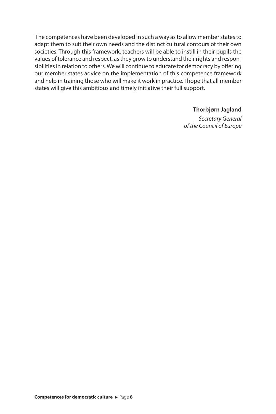The competences have been developed in such a way as to allow member states to adapt them to suit their own needs and the distinct cultural contours of their own societies. Through this framework, teachers will be able to instill in their pupils the values of tolerance and respect, as they grow to understand their rights and responsibilities in relation to others. We will continue to educate for democracy by offering our member states advice on the implementation of this competence framework and help in training those who will make it work in practice. I hope that all member states will give this ambitious and timely initiative their full support.

#### **Thorbjørn Jagland**

*Secretary General of the Council of Europe*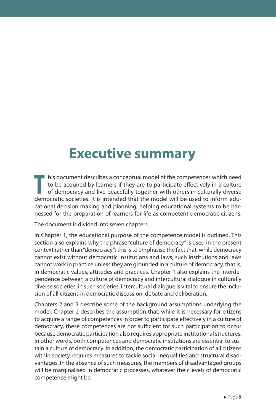### **Executive summary**

**T** his document describes a conceptual model of the competences which need to be acquired by learners if they are to participate effectively in a culture of democracy and live peacefully together with others in culturally diverse democratic societies. It is intended that the model will be used to inform educational decision making and planning, helping educational systems to be harnessed for the preparation of learners for life as competent democratic citizens.

The document is divided into seven chapters.

In Chapter 1, the educational purpose of the competence model is outlined. This section also explains why the phrase "culture of democracy" is used in the present context rather than "democracy": this is to emphasise the fact that, while democracy cannot exist without democratic institutions and laws, such institutions and laws cannot work in practice unless they are grounded in a culture of democracy, that is, in democratic values, attitudes and practices. Chapter 1 also explains the interdependence between a culture of democracy and intercultural dialogue in culturally diverse societies: in such societies, intercultural dialogue is vital to ensure the inclusion of all citizens in democratic discussion, debate and deliberation.

Chapters 2 and 3 describe some of the background assumptions underlying the model. Chapter 2 describes the assumption that, while it is necessary for citizens to acquire a range of competences in order to participate effectively in a culture of democracy, these competences are not sufficient for such participation to occur because democratic participation also requires appropriate institutional structures. In other words, both competences and democratic institutions are essential to sustain a culture of democracy. In addition, the democratic participation of all citizens within society requires measures to tackle social inequalities and structural disadvantages. In the absence of such measures, the members of disadvantaged groups will be marginalised in democratic processes, whatever their levels of democratic competence might be.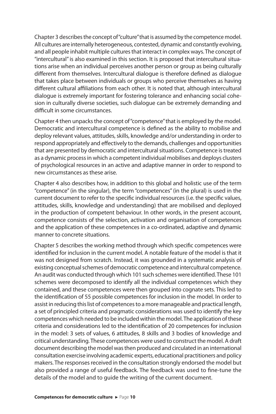Chapter 3 describes the concept of "culture" that is assumed by the competence model. All cultures are internally heterogeneous, contested, dynamic and constantly evolving, and all people inhabit multiple cultures that interact in complex ways. The concept of "intercultural" is also examined in this section. It is proposed that intercultural situations arise when an individual perceives another person or group as being culturally different from themselves. Intercultural dialogue is therefore defined as dialogue that takes place between individuals or groups who perceive themselves as having different cultural affiliations from each other. It is noted that, although intercultural dialogue is extremely important for fostering tolerance and enhancing social cohesion in culturally diverse societies, such dialogue can be extremely demanding and difficult in some circumstances.

Chapter 4 then unpacks the concept of "competence" that is employed by the model. Democratic and intercultural competence is defined as the ability to mobilise and deploy relevant values, attitudes, skills, knowledge and/or understanding in order to respond appropriately and effectively to the demands, challenges and opportunities that are presented by democratic and intercultural situations. Competence is treated as a dynamic process in which a competent individual mobilises and deploys clusters of psychological resources in an active and adaptive manner in order to respond to new circumstances as these arise.

Chapter 4 also describes how, in addition to this global and holistic use of the term "competence" (in the singular), the term "competences" (in the plural) is used in the current document to refer to the specific individual resources (i.e. the specific values, attitudes, skills, knowledge and understanding) that are mobilised and deployed in the production of competent behaviour. In other words, in the present account, competence consists of the selection, activation and organisation of competences and the application of these competences in a co-ordinated, adaptive and dynamic manner to concrete situations.

Chapter 5 describes the working method through which specific competences were identified for inclusion in the current model. A notable feature of the model is that it was not designed from scratch. Instead, it was grounded in a systematic analysis of existing conceptual schemes of democratic competence and intercultural competence. An audit was conducted through which 101 such schemes were identified. These 101 schemes were decomposed to identify all the individual competences which they contained, and these competences were then grouped into cognate sets. This led to the identification of 55 possible competences for inclusion in the model. In order to assist in reducing this list of competences to a more manageable and practical length, a set of principled criteria and pragmatic considerations was used to identify the key competences which needed to be included within the model. The application of these criteria and considerations led to the identification of 20 competences for inclusion in the model: 3 sets of values, 6 attitudes, 8 skills and 3 bodies of knowledge and critical understanding. These competences were used to construct the model. A draft document describing the model was then produced and circulated in an international consultation exercise involving academic experts, educational practitioners and policy makers. The responses received in the consultation strongly endorsed the model but also provided a range of useful feedback. The feedback was used to fine-tune the details of the model and to guide the writing of the current document.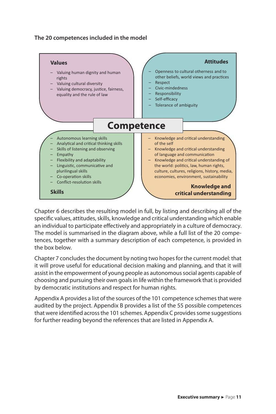#### **The 20 competences included in the model**



Chapter 6 describes the resulting model in full, by listing and describing all of the specific values, attitudes, skills, knowledge and critical understanding which enable an individual to participate effectively and appropriately in a culture of democracy. The model is summarised in the diagram above, while a full list of the 20 competences, together with a summary description of each competence, is provided in the box below.

Chapter 7 concludes the document by noting two hopes for the current model: that it will prove useful for educational decision making and planning, and that it will assist in the empowerment of young people as autonomous social agents capable of choosing and pursuing their own goals in life within the framework that is provided by democratic institutions and respect for human rights.

Appendix A provides a list of the sources of the 101 competence schemes that were audited by the project. Appendix B provides a list of the 55 possible competences that were identified across the 101 schemes. Appendix C provides some suggestions for further reading beyond the references that are listed in Appendix A.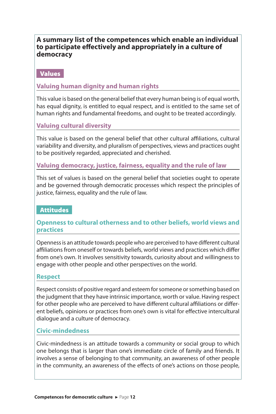#### **A summary list of the competences which enable an individual to participate effectively and appropriately in a culture of democracy**

#### Values

#### **Valuing human dignity and human rights**

This value is based on the general belief that every human being is of equal worth, has equal dignity, is entitled to equal respect, and is entitled to the same set of human rights and fundamental freedoms, and ought to be treated accordingly.

#### **Valuing cultural diversity**

This value is based on the general belief that other cultural affiliations, cultural variability and diversity, and pluralism of perspectives, views and practices ought to be positively regarded, appreciated and cherished.

**Valuing democracy, justice, fairness, equality and the rule of law**

This set of values is based on the general belief that societies ought to operate and be governed through democratic processes which respect the principles of justice, fairness, equality and the rule of law.

#### Attitudes

#### **Openness to cultural otherness and to other beliefs, world views and practices**

Openness is an attitude towards people who are perceived to have different cultural affiliations from oneself or towards beliefs, world views and practices which differ from one's own. It involves sensitivity towards, curiosity about and willingness to engage with other people and other perspectives on the world.

#### **Respect**

Respect consists of positive regard and esteem for someone or something based on the judgment that they have intrinsic importance, worth or value. Having respect for other people who are perceived to have different cultural affiliations or different beliefs, opinions or practices from one's own is vital for effective intercultural dialogue and a culture of democracy.

#### **Civic-mindedness**

Civic-mindedness is an attitude towards a community or social group to which one belongs that is larger than one's immediate circle of family and friends. It involves a sense of belonging to that community, an awareness of other people in the community, an awareness of the effects of one's actions on those people,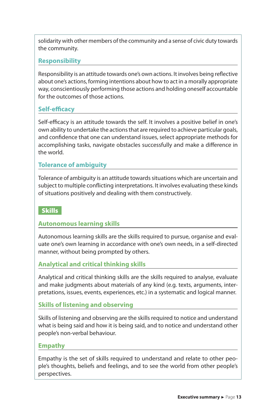solidarity with other members of the community and a sense of civic duty towards the community.

#### **Responsibility**

Responsibility is an attitude towards one's own actions. It involves being reflective about one's actions, forming intentions about how to act in a morally appropriate way, conscientiously performing those actions and holding oneself accountable for the outcomes of those actions.

#### **Self-efficacy**

Self-efficacy is an attitude towards the self. It involves a positive belief in one's own ability to undertake the actions that are required to achieve particular goals, and confidence that one can understand issues, select appropriate methods for accomplishing tasks, navigate obstacles successfully and make a difference in the world.

#### **Tolerance of ambiguity**

Tolerance of ambiguity is an attitude towards situations which are uncertain and subject to multiple conflicting interpretations. It involves evaluating these kinds of situations positively and dealing with them constructively.

#### **Skills**

#### **Autonomous learning skills**

Autonomous learning skills are the skills required to pursue, organise and evaluate one's own learning in accordance with one's own needs, in a self-directed manner, without being prompted by others.

#### **Analytical and critical thinking skills**

Analytical and critical thinking skills are the skills required to analyse, evaluate and make judgments about materials of any kind (e.g. texts, arguments, interpretations, issues, events, experiences, etc.) in a systematic and logical manner.

#### **Skills of listening and observing**

Skills of listening and observing are the skills required to notice and understand what is being said and how it is being said, and to notice and understand other people's non-verbal behaviour.

#### **Empathy**

Empathy is the set of skills required to understand and relate to other people's thoughts, beliefs and feelings, and to see the world from other people's perspectives.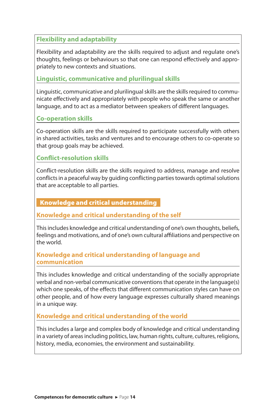#### **Flexibility and adaptability**

Flexibility and adaptability are the skills required to adjust and regulate one's thoughts, feelings or behaviours so that one can respond effectively and appropriately to new contexts and situations.

#### **Linguistic, communicative and plurilingual skills**

Linguistic, communicative and plurilingual skills are the skills required to communicate effectively and appropriately with people who speak the same or another language, and to act as a mediator between speakers of different languages.

#### **Co-operation skills**

Co-operation skills are the skills required to participate successfully with others in shared activities, tasks and ventures and to encourage others to co-operate so that group goals may be achieved.

#### **Conflict-resolution skills**

Conflict-resolution skills are the skills required to address, manage and resolve conflicts in a peaceful way by guiding conflicting parties towards optimal solutions that are acceptable to all parties.

#### Knowledge and critical understanding

#### **Knowledge and critical understanding of the self**

This includes knowledge and critical understanding of one's own thoughts, beliefs, feelings and motivations, and of one's own cultural affiliations and perspective on the world.

#### **Knowledge and critical understanding of language and communication**

This includes knowledge and critical understanding of the socially appropriate verbal and non-verbal communicative conventions that operate in the language(s) which one speaks, of the effects that different communication styles can have on other people, and of how every language expresses culturally shared meanings in a unique way.

#### **Knowledge and critical understanding of the world**

This includes a large and complex body of knowledge and critical understanding in a variety of areas including politics, law, human rights, culture, cultures, religions, history, media, economies, the environment and sustainability.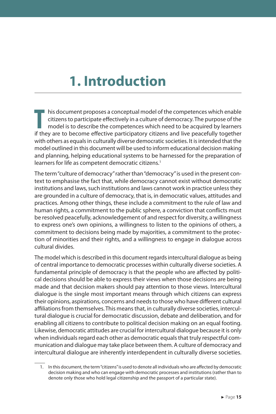### **1. Introduction**

**T**  $\blacksquare$  his document proposes a conceptual model of the competences which enable citizens to participate effectively in a culture of democracy. The purpose of the model is to describe the competences which need to be acquired by learners if they are to become effective participatory citizens and live peacefully together with others as equals in culturally diverse democratic societies. It is intended that the model outlined in this document will be used to inform educational decision making and planning, helping educational systems to be harnessed for the preparation of learners for life as competent democratic citizens.<sup>1</sup>

The term "culture of democracy" rather than "democracy" is used in the present context to emphasise the fact that, while democracy cannot exist without democratic institutions and laws, such institutions and laws cannot work in practice unless they are grounded in a culture of democracy, that is, in democratic values, attitudes and practices. Among other things, these include a commitment to the rule of law and human rights, a commitment to the public sphere, a conviction that conflicts must be resolved peacefully, acknowledgement of and respect for diversity, a willingness to express one's own opinions, a willingness to listen to the opinions of others, a commitment to decisions being made by majorities, a commitment to the protection of minorities and their rights, and a willingness to engage in dialogue across cultural divides.

The model which is described in this document regards intercultural dialogue as being of central importance to democratic processes within culturally diverse societies. A fundamental principle of democracy is that the people who are affected by political decisions should be able to express their views when those decisions are being made and that decision makers should pay attention to those views. Intercultural dialogue is the single most important means through which citizens can express their opinions, aspirations, concerns and needs to those who have different cultural affiliations from themselves. This means that, in culturally diverse societies, intercultural dialogue is crucial for democratic discussion, debate and deliberation, and for enabling all citizens to contribute to political decision making on an equal footing. Likewise, democratic attitudes are crucial for intercultural dialogue because it is only when individuals regard each other as democratic equals that truly respectful communication and dialogue may take place between them. A culture of democracy and intercultural dialogue are inherently interdependent in culturally diverse societies.

<sup>1.</sup> In this document, the term "citizens" is used to denote all individuals who are affected by democratic decision making and who can engage with democratic processes and institutions (rather than to denote only those who hold legal citizenship and the passport of a particular state).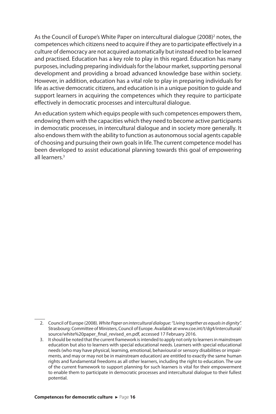As the Council of Europe's White Paper on intercultural dialogue (2008)<sup>2</sup> notes, the competences which citizens need to acquire if they are to participate effectively in a culture of democracy are not acquired automatically but instead need to be learned and practised. Education has a key role to play in this regard. Education has many purposes, including preparing individuals for the labour market, supporting personal development and providing a broad advanced knowledge base within society. However, in addition, education has a vital role to play in preparing individuals for life as active democratic citizens, and education is in a unique position to guide and support learners in acquiring the competences which they require to participate effectively in democratic processes and intercultural dialogue.

An education system which equips people with such competences empowers them, endowing them with the capacities which they need to become active participants in democratic processes, in intercultural dialogue and in society more generally. It also endows them with the ability to function as autonomous social agents capable of choosing and pursuing their own goals in life. The current competence model has been developed to assist educational planning towards this goal of empowering all learners.<sup>3</sup>

<sup>2.</sup> Council of Europe (2008). *White Paper on intercultural dialogue: "Living together as equals in dignity".* Strasbourg: Committee of Ministers, Council of Europe. Available at www.coe.int/t/dg4/intercultural/ source/white%20paper\_final\_revised\_en.pdf, accessed 17 February 2016.

<sup>3.</sup> It should be noted that the current framework is intended to apply not only to learners in mainstream education but also to learners with special educational needs. Learners with special educational needs (who may have physical, learning, emotional, behavioural or sensory disabilities or impairments, and may or may not be in mainstream education) are entitled to exactly the same human rights and fundamental freedoms as all other learners, including the right to education. The use of the current framework to support planning for such learners is vital for their empowerment to enable them to participate in democratic processes and intercultural dialogue to their fullest potential.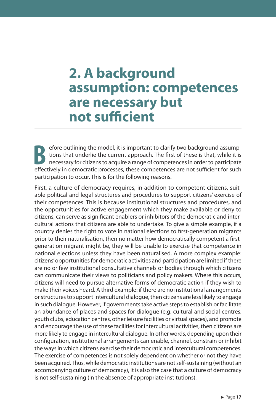### **2. A background assumption: competences are necessary but not sufficient**

**B** efore outlining the model, it is important to clarify two background assumptions that underlie the current approach. The first of these is that, while it is necessary for citizens to acquire a range of competences in order to participate effectively in democratic processes, these competences are not sufficient for such participation to occur. This is for the following reasons.

First, a culture of democracy requires, in addition to competent citizens, suitable political and legal structures and procedures to support citizens' exercise of their competences. This is because institutional structures and procedures, and the opportunities for active engagement which they make available or deny to citizens, can serve as significant enablers or inhibitors of the democratic and intercultural actions that citizens are able to undertake. To give a simple example, if a country denies the right to vote in national elections to first-generation migrants prior to their naturalisation, then no matter how democratically competent a firstgeneration migrant might be, they will be unable to exercise that competence in national elections unless they have been naturalised. A more complex example: citizens' opportunities for democratic activities and participation are limited if there are no or few institutional consultative channels or bodies through which citizens can communicate their views to politicians and policy makers. Where this occurs, citizens will need to pursue alternative forms of democratic action if they wish to make their voices heard. A third example: if there are no institutional arrangements or structures to support intercultural dialogue, then citizens are less likely to engage in such dialogue. However, if governments take active steps to establish or facilitate an abundance of places and spaces for dialogue (e.g. cultural and social centres, youth clubs, education centres, other leisure facilities or virtual spaces), and promote and encourage the use of these facilities for intercultural activities, then citizens are more likely to engage in intercultural dialogue. In other words, depending upon their configuration, institutional arrangements can enable, channel, constrain or inhibit the ways in which citizens exercise their democratic and intercultural competences. The exercise of competences is not solely dependent on whether or not they have been acquired. Thus, while democratic institutions are not self-sustaining (without an accompanying culture of democracy), it is also the case that a culture of democracy is not self-sustaining (in the absence of appropriate institutions).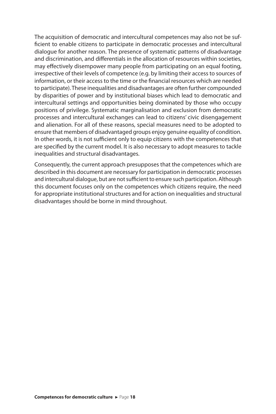The acquisition of democratic and intercultural competences may also not be sufficient to enable citizens to participate in democratic processes and intercultural dialogue for another reason. The presence of systematic patterns of disadvantage and discrimination, and differentials in the allocation of resources within societies, may effectively disempower many people from participating on an equal footing, irrespective of their levels of competence (e.g. by limiting their access to sources of information, or their access to the time or the financial resources which are needed to participate). These inequalities and disadvantages are often further compounded by disparities of power and by institutional biases which lead to democratic and intercultural settings and opportunities being dominated by those who occupy positions of privilege. Systematic marginalisation and exclusion from democratic processes and intercultural exchanges can lead to citizens' civic disengagement and alienation. For all of these reasons, special measures need to be adopted to ensure that members of disadvantaged groups enjoy genuine equality of condition. In other words, it is not sufficient only to equip citizens with the competences that are specified by the current model. It is also necessary to adopt measures to tackle inequalities and structural disadvantages.

Consequently, the current approach presupposes that the competences which are described in this document are necessary for participation in democratic processes and intercultural dialogue, but are not sufficient to ensure such participation. Although this document focuses only on the competences which citizens require, the need for appropriate institutional structures and for action on inequalities and structural disadvantages should be borne in mind throughout.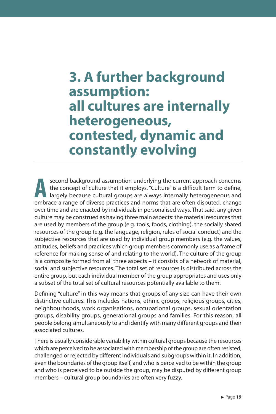### **3. A further background assumption: all cultures are internally heterogeneous, contested, dynamic and constantly evolving**

**A a** second background assumption underlying the current approach concerns the concept of culture that it employs. "Culture" is a difficult term to define, largely because cultural groups are always internally heterogeneo the concept of culture that it employs. "Culture" is a difficult term to define, embrace a range of diverse practices and norms that are often disputed, change over time and are enacted by individuals in personalised ways. That said, any given culture may be construed as having three main aspects: the material resources that are used by members of the group (e.g. tools, foods, clothing), the socially shared resources of the group (e.g. the language, religion, rules of social conduct) and the subjective resources that are used by individual group members (e.g. the values, attitudes, beliefs and practices which group members commonly use as a frame of reference for making sense of and relating to the world). The culture of the group is a composite formed from all three aspects – it consists of a network of material, social and subjective resources. The total set of resources is distributed across the entire group, but each individual member of the group appropriates and uses only a subset of the total set of cultural resources potentially available to them.

Defining "culture" in this way means that groups of any size can have their own distinctive cultures. This includes nations, ethnic groups, religious groups, cities, neighbourhoods, work organisations, occupational groups, sexual orientation groups, disability groups, generational groups and families. For this reason, all people belong simultaneously to and identify with many different groups and their associated cultures.

There is usually considerable variability within cultural groups because the resources which are perceived to be associated with membership of the group are often resisted, challenged or rejected by different individuals and subgroups within it. In addition, even the boundaries of the group itself, and who is perceived to be within the group and who is perceived to be outside the group, may be disputed by different group members – cultural group boundaries are often very fuzzy.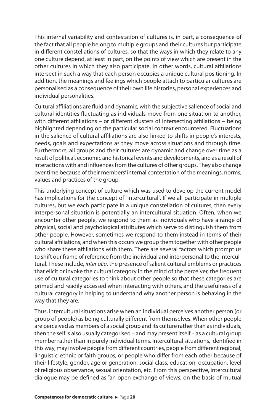This internal variability and contestation of cultures is, in part, a consequence of the fact that all people belong to multiple groups and their cultures but participate in different constellations of cultures, so that the ways in which they relate to any one culture depend, at least in part, on the points of view which are present in the other cultures in which they also participate. In other words, cultural affiliations intersect in such a way that each person occupies a unique cultural positioning. In addition, the meanings and feelings which people attach to particular cultures are personalised as a consequence of their own life histories, personal experiences and individual personalities.

Cultural affiliations are fluid and dynamic, with the subjective salience of social and cultural identities fluctuating as individuals move from one situation to another, with different affiliations – or different clusters of intersecting affiliations – being highlighted depending on the particular social context encountered. Fluctuations in the salience of cultural affiliations are also linked to shifts in people's interests, needs, goals and expectations as they move across situations and through time. Furthermore, all groups and their cultures are dynamic and change over time as a result of political, economic and historical events and developments, and as a result of interactions with and influences from the cultures of other groups. They also change over time because of their members' internal contestation of the meanings, norms, values and practices of the group.

This underlying concept of culture which was used to develop the current model has implications for the concept of "intercultural". If we all participate in multiple cultures, but we each participate in a unique constellation of cultures, then every interpersonal situation is potentially an intercultural situation. Often, when we encounter other people, we respond to them as individuals who have a range of physical, social and psychological attributes which serve to distinguish them from other people. However, sometimes we respond to them instead in terms of their cultural affiliations, and when this occurs we group them together with other people who share these affiliations with them. There are several factors which prompt us to shift our frame of reference from the individual and interpersonal to the intercultural. These include, *inter alia*, the presence of salient cultural emblems or practices that elicit or invoke the cultural category in the mind of the perceiver, the frequent use of cultural categories to think about other people so that these categories are primed and readily accessed when interacting with others, and the usefulness of a cultural category in helping to understand why another person is behaving in the way that they are.

Thus, intercultural situations arise when an individual perceives another person (or group of people) as being culturally different from themselves. When other people are perceived as members of a social group and its culture rather than as individuals, then the self is also usually categorised – and may present itself – as a cultural group member rather than in purely individual terms. Intercultural situations, identified in this way, may involve people from different countries, people from different regional, linguistic, ethnic or faith groups, or people who differ from each other because of their lifestyle, gender, age or generation, social class, education, occupation, level of religious observance, sexual orientation, etc. From this perspective, intercultural dialogue may be defined as "an open exchange of views, on the basis of mutual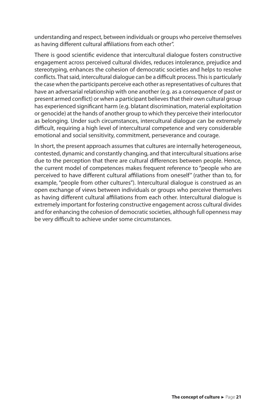understanding and respect, between individuals or groups who perceive themselves as having different cultural affiliations from each other".

There is good scientific evidence that intercultural dialogue fosters constructive engagement across perceived cultural divides, reduces intolerance, prejudice and stereotyping, enhances the cohesion of democratic societies and helps to resolve conflicts. That said, intercultural dialogue can be a difficult process. This is particularly the case when the participants perceive each other as representatives of cultures that have an adversarial relationship with one another (e.g. as a consequence of past or present armed conflict) or when a participant believes that their own cultural group has experienced significant harm (e.g. blatant discrimination, material exploitation or genocide) at the hands of another group to which they perceive their interlocutor as belonging. Under such circumstances, intercultural dialogue can be extremely difficult, requiring a high level of intercultural competence and very considerable emotional and social sensitivity, commitment, perseverance and courage.

In short, the present approach assumes that cultures are internally heterogeneous, contested, dynamic and constantly changing, and that intercultural situations arise due to the perception that there are cultural differences between people. Hence, the current model of competences makes frequent reference to "people who are perceived to have different cultural affiliations from oneself" (rather than to, for example, "people from other cultures"). Intercultural dialogue is construed as an open exchange of views between individuals or groups who perceive themselves as having different cultural affiliations from each other. Intercultural dialogue is extremely important for fostering constructive engagement across cultural divides and for enhancing the cohesion of democratic societies, although full openness may be very difficult to achieve under some circumstances.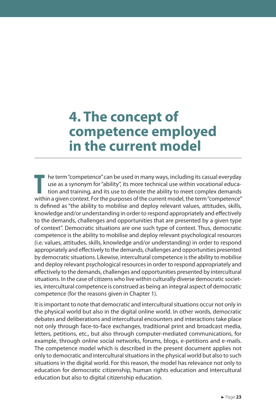### **4. The concept of competence employed in the current model**

**T** he term "competence" can be used in many ways, including its casual everyday use as a synonym for "ability", its more technical use within vocational education and training, and its use to denote the ability to meet complex demands within a given context. For the purposes of the current model, the term "competence" is defined as "the ability to mobilise and deploy relevant values, attitudes, skills, knowledge and/or understanding in order to respond appropriately and effectively to the demands, challenges and opportunities that are presented by a given type of context". Democratic situations are one such type of context. Thus, democratic competence is the ability to mobilise and deploy relevant psychological resources (i.e. values, attitudes, skills, knowledge and/or understanding) in order to respond appropriately and effectively to the demands, challenges and opportunities presented by democratic situations. Likewise, intercultural competence is the ability to mobilise and deploy relevant psychological resources in order to respond appropriately and effectively to the demands, challenges and opportunities presented by intercultural situations. In the case of citizens who live within culturally diverse democratic societies, intercultural competence is construed as being an integral aspect of democratic competence (for the reasons given in Chapter 1).

It is important to note that democratic and intercultural situations occur not only in the physical world but also in the digital online world. In other words, democratic debates and deliberations and intercultural encounters and interactions take place not only through face-to-face exchanges, traditional print and broadcast media, letters, petitions, etc., but also through computer-mediated communications, for example, through online social networks, forums, blogs, e-petitions and e-mails. The competence model which is described in the present document applies not only to democratic and intercultural situations in the physical world but also to such situations in the digital world. For this reason, the model has relevance not only to education for democratic citizenship, human rights education and intercultural education but also to digital citizenship education.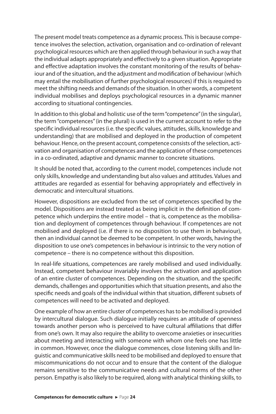The present model treats competence as a dynamic process. This is because competence involves the selection, activation, organisation and co-ordination of relevant psychological resources which are then applied through behaviour in such a way that the individual adapts appropriately and effectively to a given situation. Appropriate and effective adaptation involves the constant monitoring of the results of behaviour and of the situation, and the adjustment and modification of behaviour (which may entail the mobilisation of further psychological resources) if this is required to meet the shifting needs and demands of the situation. In other words, a competent individual mobilises and deploys psychological resources in a dynamic manner according to situational contingencies.

In addition to this global and holistic use of the term "competence" (in the singular), the term "competences" (in the plural) is used in the current account to refer to the specific individual resources (i.e. the specific values, attitudes, skills, knowledge and understanding) that are mobilised and deployed in the production of competent behaviour. Hence, on the present account, competence consists of the selection, activation and organisation of competences and the application of these competences in a co-ordinated, adaptive and dynamic manner to concrete situations.

It should be noted that, according to the current model, competences include not only skills, knowledge and understanding but also values and attitudes. Values and attitudes are regarded as essential for behaving appropriately and effectively in democratic and intercultural situations.

However, dispositions are excluded from the set of competences specified by the model. Dispositions are instead treated as being implicit in the definition of competence which underpins the entire model – that is, competence as the mobilisation and deployment of competences through behaviour. If competences are not mobilised and deployed (i.e. if there is no disposition to use them in behaviour), then an individual cannot be deemed to be competent. In other words, having the disposition to use one's competences in behaviour is intrinsic to the very notion of competence – there is no competence without this disposition.

In real-life situations, competences are rarely mobilised and used individually. Instead, competent behaviour invariably involves the activation and application of an entire cluster of competences. Depending on the situation, and the specific demands, challenges and opportunities which that situation presents, and also the specific needs and goals of the individual within that situation, different subsets of competences will need to be activated and deployed.

One example of how an entire cluster of competences has to be mobilised is provided by intercultural dialogue. Such dialogue initially requires an attitude of openness towards another person who is perceived to have cultural affiliations that differ from one's own. It may also require the ability to overcome anxieties or insecurities about meeting and interacting with someone with whom one feels one has little in common. However, once the dialogue commences, close listening skills and linguistic and communicative skills need to be mobilised and deployed to ensure that miscommunications do not occur and to ensure that the content of the dialogue remains sensitive to the communicative needs and cultural norms of the other person. Empathy is also likely to be required, along with analytical thinking skills, to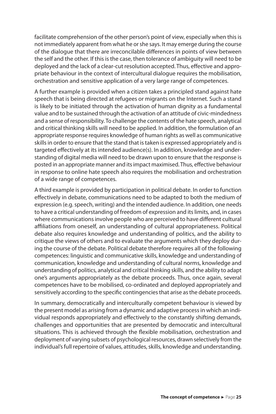facilitate comprehension of the other person's point of view, especially when this is not immediately apparent from what he or she says. It may emerge during the course of the dialogue that there are irreconcilable differences in points of view between the self and the other. If this is the case, then tolerance of ambiguity will need to be deployed and the lack of a clear-cut resolution accepted. Thus, effective and appropriate behaviour in the context of intercultural dialogue requires the mobilisation, orchestration and sensitive application of a very large range of competences.

A further example is provided when a citizen takes a principled stand against hate speech that is being directed at refugees or migrants on the Internet. Such a stand is likely to be initiated through the activation of human dignity as a fundamental value and to be sustained through the activation of an attitude of civic-mindedness and a sense of responsibility. To challenge the contents of the hate speech, analytical and critical thinking skills will need to be applied. In addition, the formulation of an appropriate response requires knowledge of human rights as well as communicative skills in order to ensure that the stand that is taken is expressed appropriately and is targeted effectively at its intended audience(s). In addition, knowledge and understanding of digital media will need to be drawn upon to ensure that the response is posted in an appropriate manner and its impact maximised. Thus, effective behaviour in response to online hate speech also requires the mobilisation and orchestration of a wide range of competences.

A third example is provided by participation in political debate. In order to function effectively in debate, communications need to be adapted to both the medium of expression (e.g. speech, writing) and the intended audience. In addition, one needs to have a critical understanding of freedom of expression and its limits, and, in cases where communications involve people who are perceived to have different cultural affiliations from oneself, an understanding of cultural appropriateness. Political debate also requires knowledge and understanding of politics, and the ability to critique the views of others and to evaluate the arguments which they deploy during the course of the debate. Political debate therefore requires all of the following competences: linguistic and communicative skills, knowledge and understanding of communication, knowledge and understanding of cultural norms, knowledge and understanding of politics, analytical and critical thinking skills, and the ability to adapt one's arguments appropriately as the debate proceeds. Thus, once again, several competences have to be mobilised, co-ordinated and deployed appropriately and sensitively according to the specific contingencies that arise as the debate proceeds.

In summary, democratically and interculturally competent behaviour is viewed by the present model as arising from a dynamic and adaptive process in which an individual responds appropriately and effectively to the constantly shifting demands, challenges and opportunities that are presented by democratic and intercultural situations. This is achieved through the flexible mobilisation, orchestration and deployment of varying subsets of psychological resources, drawn selectively from the individual's full repertoire of values, attitudes, skills, knowledge and understanding.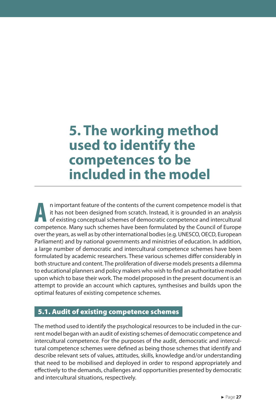### **5. The working method used to identify the competences to be included in the model**

**A** n important feature of the contents of the current competence model is that it has not been designed from scratch. Instead, it is grounded in an analysis of existing conceptual schemes of democratic competence and intercultural competence. Many such schemes have been formulated by the Council of Europe over the years, as well as by other international bodies (e.g. UNESCO, OECD, European Parliament) and by national governments and ministries of education. In addition, a large number of democratic and intercultural competence schemes have been formulated by academic researchers. These various schemes differ considerably in both structure and content. The proliferation of diverse models presents a dilemma to educational planners and policy makers who wish to find an authoritative model upon which to base their work. The model proposed in the present document is an attempt to provide an account which captures, synthesises and builds upon the optimal features of existing competence schemes.

#### 5.1. Audit of existing competence schemes

The method used to identify the psychological resources to be included in the current model began with an audit of existing schemes of democratic competence and intercultural competence. For the purposes of the audit, democratic and intercultural competence schemes were defined as being those schemes that identify and describe relevant sets of values, attitudes, skills, knowledge and/or understanding that need to be mobilised and deployed in order to respond appropriately and effectively to the demands, challenges and opportunities presented by democratic and intercultural situations, respectively.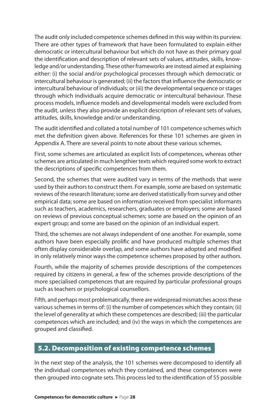The audit only included competence schemes defined in this way within its purview. There are other types of framework that have been formulated to explain either democratic or intercultural behaviour but which do not have as their primary goal the identification and description of relevant sets of values, attitudes, skills, knowledge and/or understanding. These other frameworks are instead aimed at explaining either: (i) the social and/or psychological processes through which democratic or intercultural behaviour is generated; (ii) the factors that influence the democratic or intercultural behaviour of individuals; or (iii) the developmental sequence or stages through which individuals acquire democratic or intercultural behaviour. These process models, influence models and developmental models were excluded from the audit, unless they also provide an explicit description of relevant sets of values, attitudes, skills, knowledge and/or understanding.

The audit identified and collated a total number of 101 competence schemes which met the definition given above. References for these 101 schemes are given in Appendix A. There are several points to note about these various schemes.

First, some schemes are articulated as explicit lists of competences, whereas other schemes are articulated in much lengthier texts which required some work to extract the descriptions of specific competences from them.

Second, the schemes that were audited vary in terms of the methods that were used by their authors to construct them. For example, some are based on systematic reviews of the research literature; some are derived statistically from survey and other empirical data; some are based on information received from specialist informants such as teachers, academics, researchers, graduates or employers; some are based on reviews of previous conceptual schemes; some are based on the opinion of an expert group; and some are based on the opinion of an individual expert.

Third, the schemes are not always independent of one another. For example, some authors have been especially prolific and have produced multiple schemes that often display considerable overlap, and some authors have adopted and modified in only relatively minor ways the competence schemes proposed by other authors.

Fourth, while the majority of schemes provide descriptions of the competences required by citizens in general, a few of the schemes provide descriptions of the more specialised competences that are required by particular professional groups such as teachers or psychological counsellors.

Fifth, and perhaps most problematically, there are widespread mismatches across these various schemes in terms of: (i) the number of competences which they contain; (ii) the level of generality at which these competences are described; (iii) the particular competences which are included; and (iv) the ways in which the competences are grouped and classified.

#### 5.2. Decomposition of existing competence schemes

In the next step of the analysis, the 101 schemes were decomposed to identify all the individual competences which they contained, and these competences were then grouped into cognate sets. This process led to the identification of 55 possible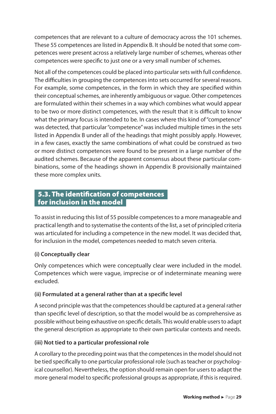competences that are relevant to a culture of democracy across the 101 schemes. These 55 competences are listed in Appendix B. It should be noted that some competences were present across a relatively large number of schemes, whereas other competences were specific to just one or a very small number of schemes.

Not all of the competences could be placed into particular sets with full confidence. The difficulties in grouping the competences into sets occurred for several reasons. For example, some competences, in the form in which they are specified within their conceptual schemes, are inherently ambiguous or vague. Other competences are formulated within their schemes in a way which combines what would appear to be two or more distinct competences, with the result that it is difficult to know what the primary focus is intended to be. In cases where this kind of "competence" was detected, that particular "competence" was included multiple times in the sets listed in Appendix B under all of the headings that might possibly apply. However, in a few cases, exactly the same combinations of what could be construed as two or more distinct competences were found to be present in a large number of the audited schemes. Because of the apparent consensus about these particular combinations, some of the headings shown in Appendix B provisionally maintained these more complex units.

#### 5.3. The identification of competences for inclusion in the model

To assist in reducing this list of 55 possible competences to a more manageable and practical length and to systematise the contents of the list, a set of principled criteria was articulated for including a competence in the new model. It was decided that, for inclusion in the model, competences needed to match seven criteria.

#### **(i) Conceptually clear**

Only competences which were conceptually clear were included in the model. Competences which were vague, imprecise or of indeterminate meaning were excluded.

#### **(ii) Formulated at a general rather than at a specific level**

A second principle was that the competences should be captured at a general rather than specific level of description, so that the model would be as comprehensive as possible without being exhaustive on specific details. This would enable users to adapt the general description as appropriate to their own particular contexts and needs.

#### **(iii) Not tied to a particular professional role**

A corollary to the preceding point was that the competences in the model should not be tied specifically to one particular professional role (such as teacher or psychological counsellor). Nevertheless, the option should remain open for users to adapt the more general model to specific professional groups as appropriate, if this is required.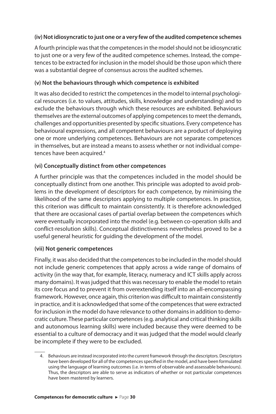#### **(iv) Not idiosyncratic to just one or a very few of the audited competence schemes**

A fourth principle was that the competences in the model should not be idiosyncratic to just one or a very few of the audited competence schemes. Instead, the competences to be extracted for inclusion in the model should be those upon which there was a substantial degree of consensus across the audited schemes.

#### **(v) Not the behaviours through which competence is exhibited**

It was also decided to restrict the competences in the model to internal psychological resources (i.e. to values, attitudes, skills, knowledge and understanding) and to exclude the behaviours through which these resources are exhibited. Behaviours themselves are the external outcomes of applying competences to meet the demands, challenges and opportunities presented by specific situations. Every competence has behavioural expressions, and all competent behaviours are a product of deploying one or more underlying competences. Behaviours are not separate competences in themselves, but are instead a means to assess whether or not individual competences have been acquired.<sup>4</sup>

#### **(vi) Conceptually distinct from other competences**

A further principle was that the competences included in the model should be conceptually distinct from one another. This principle was adopted to avoid problems in the development of descriptors for each competence, by minimising the likelihood of the same descriptors applying to multiple competences. In practice, this criterion was difficult to maintain consistently. It is therefore acknowledged that there are occasional cases of partial overlap between the competences which were eventually incorporated into the model (e.g. between co-operation skills and conflict-resolution skills). Conceptual distinctiveness nevertheless proved to be a useful general heuristic for guiding the development of the model.

#### **(vii) Not generic competences**

Finally, it was also decided that the competences to be included in the model should not include generic competences that apply across a wide range of domains of activity (in the way that, for example, literacy, numeracy and ICT skills apply across many domains). It was judged that this was necessary to enable the model to retain its core focus and to prevent it from overextending itself into an all-encompassing framework. However, once again, this criterion was difficult to maintain consistently in practice, and it is acknowledged that some of the competences that were extracted for inclusion in the model do have relevance to other domains in addition to democratic culture. These particular competences (e.g. analytical and critical thinking skills and autonomous learning skills) were included because they were deemed to be essential to a culture of democracy and it was judged that the model would clearly be incomplete if they were to be excluded.

<sup>4.</sup> Behaviours are instead incorporated into the current framework through the descriptors. Descriptors have been developed for all of the competences specified in the model, and have been formulated using the language of learning outcomes (i.e. in terms of observable and assessable behaviours). Thus, the descriptors are able to serve as indicators of whether or not particular competences have been mastered by learners.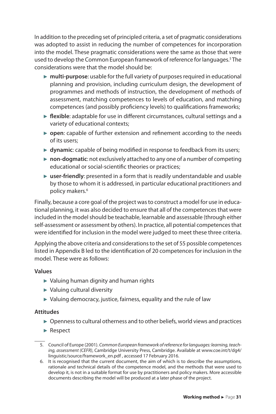In addition to the preceding set of principled criteria, a set of pragmatic considerations was adopted to assist in reducing the number of competences for incorporation into the model. These pragmatic considerations were the same as those that were used to develop the Common European framework of reference for languages.<sup>5</sup> The considerations were that the model should be:

- ► **multi-purpose**: usable for the full variety of purposes required in educational planning and provision, including curriculum design, the development of programmes and methods of instruction, the development of methods of assessment, matching competences to levels of education, and matching competences (and possibly proficiency levels) to qualifications frameworks;
- ► **flexible**: adaptable for use in different circumstances, cultural settings and a variety of educational contexts;
- ► **open**: capable of further extension and refinement according to the needs of its users;
- ► **dynamic**: capable of being modified in response to feedback from its users;
- ► **non-dogmatic**: not exclusively attached to any one of a number of competing educational or social-scientific theories or practices;
- ► **user-friendly**: presented in a form that is readily understandable and usable by those to whom it is addressed, in particular educational practitioners and policy makers.<sup>6</sup>

Finally, because a core goal of the project was to construct a model for use in educational planning, it was also decided to ensure that all of the competences that were included in the model should be teachable, learnable and assessable (through either self-assessment or assessment by others). In practice, all potential competences that were identified for inclusion in the model were judged to meet these three criteria.

Applying the above criteria and considerations to the set of 55 possible competences listed in Appendix B led to the identification of 20 competences for inclusion in the model. These were as follows:

#### **Values**

- ► Valuing human dignity and human rights
- ► Valuing cultural diversity
- ► Valuing democracy, justice, fairness, equality and the rule of law

#### **Attitudes**

- ► Openness to cultural otherness and to other beliefs, world views and practices
- ► Respect
- 5. Council of Europe (2001). *Common European framework of reference for languages: learning, teaching, assessment (CEFR)*, Cambridge University Press, Cambridge. Available at www.coe.int/t/dg4/ linguistic/source/framework\_en.pdf , accessed 17 February 2016.
- 6. It is recognised that the current document, the aim of which is to describe the assumptions, rationale and technical details of the competence model, and the methods that were used to develop it, is not in a suitable format for use by practitioners and policy makers. More accessible documents describing the model will be produced at a later phase of the project.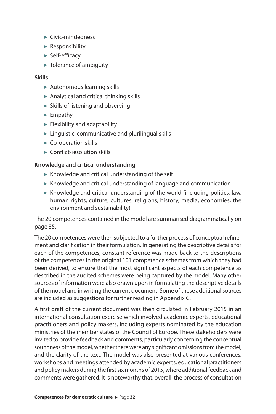- ► Civic-mindedness
- ► Responsibility
- ► Self-efficacy
- ► Tolerance of ambiguity

#### **Skills**

- ► Autonomous learning skills
- $\blacktriangleright$  Analytical and critical thinking skills
- ► Skills of listening and observing
- ► Empathy
- $\blacktriangleright$  Flexibility and adaptability
- $\blacktriangleright$  Linguistic, communicative and plurilingual skills
- ► Co-operation skills
- ► Conflict-resolution skills

#### **Knowledge and critical understanding**

- ► Knowledge and critical understanding of the self
- $\triangleright$  Knowledge and critical understanding of language and communication
- $\blacktriangleright$  Knowledge and critical understanding of the world (including politics, law, human rights, culture, cultures, religions, history, media, economies, the environment and sustainability)

The 20 competences contained in the model are summarised diagrammatically on page 35.

The 20 competences were then subjected to a further process of conceptual refinement and clarification in their formulation. In generating the descriptive details for each of the competences, constant reference was made back to the descriptions of the competences in the original 101 competence schemes from which they had been derived, to ensure that the most significant aspects of each competence as described in the audited schemes were being captured by the model. Many other sources of information were also drawn upon in formulating the descriptive details of the model and in writing the current document. Some of these additional sources are included as suggestions for further reading in Appendix C.

A first draft of the current document was then circulated in February 2015 in an international consultation exercise which involved academic experts, educational practitioners and policy makers, including experts nominated by the education ministries of the member states of the Council of Europe. These stakeholders were invited to provide feedback and comments, particularly concerning the conceptual soundness of the model, whether there were any significant omissions from the model, and the clarity of the text. The model was also presented at various conferences, workshops and meetings attended by academic experts, educational practitioners and policy makers during the first six months of 2015, where additional feedback and comments were gathered. It is noteworthy that, overall, the process of consultation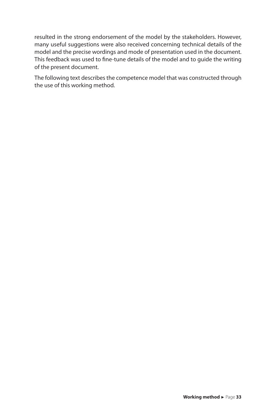resulted in the strong endorsement of the model by the stakeholders. However, many useful suggestions were also received concerning technical details of the model and the precise wordings and mode of presentation used in the document. This feedback was used to fine-tune details of the model and to guide the writing of the present document.

The following text describes the competence model that was constructed through the use of this working method.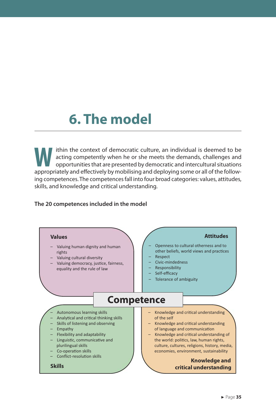## **6. The model**

**W** ithin the context of democratic culture, an individual is deemed to be acting competently when he or she meets the demands, challenges and opportunities that are presented by democratic and intercultural situations appropriately and effectively by mobilising and deploying some or all of the following competences. The competences fall into four broad categories: values, attitudes, skills, and knowledge and critical understanding.

#### **The 20 competences included in the model**

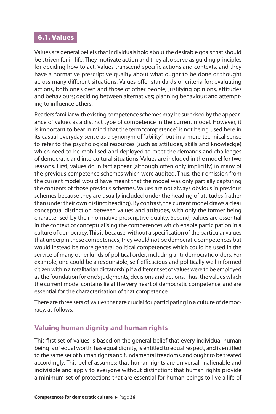### 6.1. Values

Values are general beliefs that individuals hold about the desirable goals that should be striven for in life. They motivate action and they also serve as guiding principles for deciding how to act. Values transcend specific actions and contexts, and they have a normative prescriptive quality about what ought to be done or thought across many different situations. Values offer standards or criteria for: evaluating actions, both one's own and those of other people; justifying opinions, attitudes and behaviours; deciding between alternatives; planning behaviour; and attempting to influence others.

Readers familiar with existing competence schemes may be surprised by the appearance of values as a distinct type of competence in the current model. However, it is important to bear in mind that the term "competence" is not being used here in its casual everyday sense as a synonym of "ability", but in a more technical sense to refer to the psychological resources (such as attitudes, skills and knowledge) which need to be mobilised and deployed to meet the demands and challenges of democratic and intercultural situations. Values are included in the model for two reasons. First, values do in fact appear (although often only implicitly) in many of the previous competence schemes which were audited. Thus, their omission from the current model would have meant that the model was only partially capturing the contents of those previous schemes. Values are not always obvious in previous schemes because they are usually included under the heading of attitudes (rather than under their own distinct heading). By contrast, the current model draws a clear conceptual distinction between values and attitudes, with only the former being characterised by their normative prescriptive quality. Second, values are essential in the context of conceptualising the competences which enable participation in a culture of democracy. This is because, without a specification of the particular values that underpin these competences, they would not be democratic competences but would instead be more general political competences which could be used in the service of many other kinds of political order, including anti-democratic orders. For example, one could be a responsible, self-efficacious and politically well-informed citizen within a totalitarian dictatorship if a different set of values were to be employed as the foundation for one's judgments, decisions and actions. Thus, the values which the current model contains lie at the very heart of democratic competence, and are essential for the characterisation of that competence.

There are three sets of values that are crucial for participating in a culture of democracy, as follows.

## **Valuing human dignity and human rights**

This first set of values is based on the general belief that every individual human being is of equal worth, has equal dignity, is entitled to equal respect, and is entitled to the same set of human rights and fundamental freedoms, and ought to be treated accordingly. This belief assumes: that human rights are universal, inalienable and indivisible and apply to everyone without distinction; that human rights provide a minimum set of protections that are essential for human beings to live a life of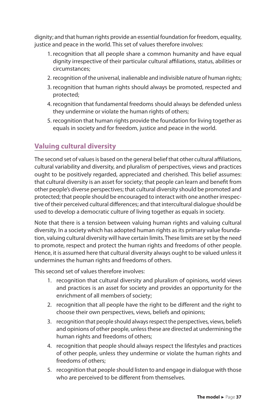dignity; and that human rights provide an essential foundation for freedom, equality, justice and peace in the world. This set of values therefore involves:

- 1. recognition that all people share a common humanity and have equal dignity irrespective of their particular cultural affiliations, status, abilities or circumstances;
- 2. recognition of the universal, inalienable and indivisible nature of human rights;
- 3. recognition that human rights should always be promoted, respected and protected;
- 4. recognition that fundamental freedoms should always be defended unless they undermine or violate the human rights of others;
- 5. recognition that human rights provide the foundation for living together as equals in society and for freedom, justice and peace in the world.

## **Valuing cultural diversity**

The second set of values is based on the general belief that other cultural affiliations, cultural variability and diversity, and pluralism of perspectives, views and practices ought to be positively regarded, appreciated and cherished. This belief assumes: that cultural diversity is an asset for society; that people can learn and benefit from other people's diverse perspectives; that cultural diversity should be promoted and protected; that people should be encouraged to interact with one another irrespective of their perceived cultural differences; and that intercultural dialogue should be used to develop a democratic culture of living together as equals in society.

Note that there is a tension between valuing human rights and valuing cultural diversity. In a society which has adopted human rights as its primary value foundation, valuing cultural diversity will have certain limits. These limits are set by the need to promote, respect and protect the human rights and freedoms of other people. Hence, it is assumed here that cultural diversity always ought to be valued unless it undermines the human rights and freedoms of others.

This second set of values therefore involves:

- 1. recognition that cultural diversity and pluralism of opinions, world views and practices is an asset for society and provides an opportunity for the enrichment of all members of society;
- 2. recognition that all people have the right to be different and the right to choose their own perspectives, views, beliefs and opinions;
- 3. recognition that people should always respect the perspectives, views, beliefs and opinions of other people, unless these are directed at undermining the human rights and freedoms of others;
- 4. recognition that people should always respect the lifestyles and practices of other people, unless they undermine or violate the human rights and freedoms of others;
- 5. recognition that people should listen to and engage in dialogue with those who are perceived to be different from themselves.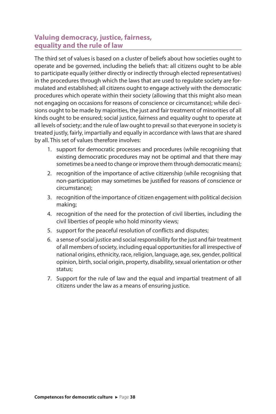#### **Valuing democracy, justice, fairness, equality and the rule of law**

The third set of values is based on a cluster of beliefs about how societies ought to operate and be governed, including the beliefs that: all citizens ought to be able to participate equally (either directly or indirectly through elected representatives) in the procedures through which the laws that are used to regulate society are formulated and established; all citizens ought to engage actively with the democratic procedures which operate within their society (allowing that this might also mean not engaging on occasions for reasons of conscience or circumstance); while decisions ought to be made by majorities, the just and fair treatment of minorities of all kinds ought to be ensured; social justice, fairness and equality ought to operate at all levels of society; and the rule of law ought to prevail so that everyone in society is treated justly, fairly, impartially and equally in accordance with laws that are shared by all. This set of values therefore involves:

- 1. support for democratic processes and procedures (while recognising that existing democratic procedures may not be optimal and that there may sometimes be a need to change or improve them through democratic means);
- 2. recognition of the importance of active citizenship (while recognising that non-participation may sometimes be justified for reasons of conscience or circumstance);
- 3. recognition of the importance of citizen engagement with political decision making;
- 4. recognition of the need for the protection of civil liberties, including the civil liberties of people who hold minority views;
- 5. support for the peaceful resolution of conflicts and disputes;
- 6. a sense of social justice and social responsibility for the just and fair treatment of all members of society, including equal opportunities for all irrespective of national origins, ethnicity, race, religion, language, age, sex, gender, political opinion, birth, social origin, property, disability, sexual orientation or other status;
- 7. Support for the rule of law and the equal and impartial treatment of all citizens under the law as a means of ensuring justice.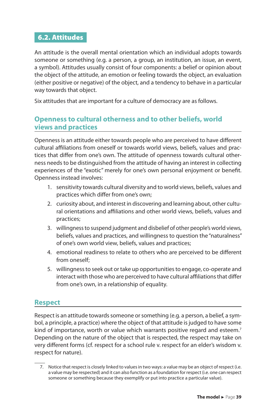#### 6.2. Attitudes

An attitude is the overall mental orientation which an individual adopts towards someone or something (e.g. a person, a group, an institution, an issue, an event, a symbol). Attitudes usually consist of four components: a belief or opinion about the object of the attitude, an emotion or feeling towards the object, an evaluation (either positive or negative) of the object, and a tendency to behave in a particular way towards that object.

Six attitudes that are important for a culture of democracy are as follows.

#### **Openness to cultural otherness and to other beliefs, world views and practices**

Openness is an attitude either towards people who are perceived to have different cultural affiliations from oneself or towards world views, beliefs, values and practices that differ from one's own. The attitude of openness towards cultural otherness needs to be distinguished from the attitude of having an interest in collecting experiences of the "exotic" merely for one's own personal enjoyment or benefit. Openness instead involves:

- 1. sensitivity towards cultural diversity and to world views, beliefs, values and practices which differ from one's own;
- 2. curiosity about, and interest in discovering and learning about, other cultural orientations and affiliations and other world views, beliefs, values and practices;
- 3. willingness to suspend judgment and disbelief of other people's world views, beliefs, values and practices, and willingness to question the "naturalness" of one's own world view, beliefs, values and practices;
- 4. emotional readiness to relate to others who are perceived to be different from oneself;
- 5. willingness to seek out or take up opportunities to engage, co-operate and interact with those who are perceived to have cultural affiliations that differ from one's own, in a relationship of equality.

#### **Respect**

Respect is an attitude towards someone or something (e.g. a person, a belief, a symbol, a principle, a practice) where the object of that attitude is judged to have some kind of importance, worth or value which warrants positive regard and esteem.<sup>7</sup> Depending on the nature of the object that is respected, the respect may take on very different forms (cf. respect for a school rule v. respect for an elder's wisdom v. respect for nature).

<sup>7.</sup> Notice that respect is closely linked to values in two ways: a value may be an object of respect (i.e. a value may be respected) and it can also function as a foundation for respect (i.e. one can respect someone or something because they exemplify or put into practice a particular value).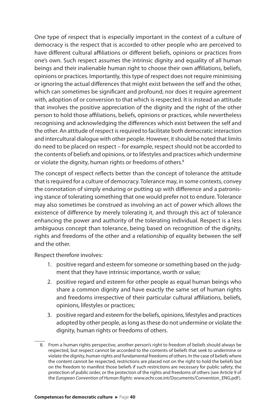One type of respect that is especially important in the context of a culture of democracy is the respect that is accorded to other people who are perceived to have different cultural affiliations or different beliefs, opinions or practices from one's own. Such respect assumes the intrinsic dignity and equality of all human beings and their inalienable human right to choose their own affiliations, beliefs, opinions or practices. Importantly, this type of respect does not require minimising or ignoring the actual differences that might exist between the self and the other, which can sometimes be significant and profound, nor does it require agreement with, adoption of or conversion to that which is respected. It is instead an attitude that involves the positive appreciation of the dignity and the right of the other person to hold those affiliations, beliefs, opinions or practices, while nevertheless recognising and acknowledging the differences which exist between the self and the other. An attitude of respect is required to facilitate both democratic interaction and intercultural dialogue with other people. However, it should be noted that limits do need to be placed on respect – for example, respect should not be accorded to the contents of beliefs and opinions, or to lifestyles and practices which undermine or violate the dignity, human rights or freedoms of others.<sup>8</sup>

The concept of respect reflects better than the concept of tolerance the attitude that is required for a culture of democracy. Tolerance may, in some contexts, convey the connotation of simply enduring or putting up with difference and a patronising stance of tolerating something that one would prefer not to endure. Tolerance may also sometimes be construed as involving an act of power which allows the existence of difference by merely tolerating it, and through this act of tolerance enhancing the power and authority of the tolerating individual. Respect is a less ambiguous concept than tolerance, being based on recognition of the dignity, rights and freedoms of the other and a relationship of equality between the self and the other.

Respect therefore involves:

- 1. positive regard and esteem for someone or something based on the judgment that they have intrinsic importance, worth or value;
- 2. positive regard and esteem for other people as equal human beings who share a common dignity and have exactly the same set of human rights and freedoms irrespective of their particular cultural affiliations, beliefs, opinions, lifestyles or practices;
- 3. positive regard and esteem for the beliefs, opinions, lifestyles and practices adopted by other people, as long as these do not undermine or violate the dignity, human rights or freedoms of others.

<sup>8.</sup> From a human rights perspective, another person's right to freedom of beliefs should always be respected, but respect cannot be accorded to the contents of beliefs that seek to undermine or violate the dignity, human rights and fundamental freedoms of others. In the case of beliefs where the content cannot be respected, restrictions are placed not on the right to hold the beliefs but on the freedom to manifest those beliefs if such restrictions are necessary for public safety, the protection of public order, or the protection of the rights and freedoms of others (see Article 9 of the *European Convention of Human Rights*: www.echr.coe.int/Documents/Convention\_ENG.pdf).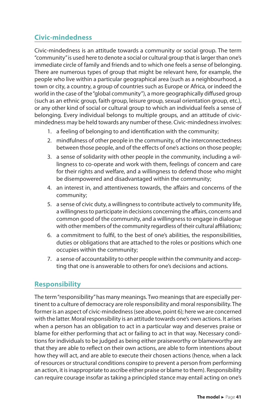## **Civic-mindedness**

Civic-mindedness is an attitude towards a community or social group. The term "community" is used here to denote a social or cultural group that is larger than one's immediate circle of family and friends and to which one feels a sense of belonging. There are numerous types of group that might be relevant here, for example, the people who live within a particular geographical area (such as a neighbourhood, a town or city, a country, a group of countries such as Europe or Africa, or indeed the world in the case of the "global community"), a more geographically diffused group (such as an ethnic group, faith group, leisure group, sexual orientation group, etc.), or any other kind of social or cultural group to which an individual feels a sense of belonging. Every individual belongs to multiple groups, and an attitude of civicmindedness may be held towards any number of these. Civic-mindedness involves:

- 1. a feeling of belonging to and identification with the community;
- 2. mindfulness of other people in the community, of the interconnectedness between those people, and of the effects of one's actions on those people;
- 3. a sense of solidarity with other people in the community, including a willingness to co-operate and work with them, feelings of concern and care for their rights and welfare, and a willingness to defend those who might be disempowered and disadvantaged within the community;
- 4. an interest in, and attentiveness towards, the affairs and concerns of the community;
- 5. a sense of civic duty, a willingness to contribute actively to community life, a willingness to participate in decisions concerning the affairs, concerns and common good of the community, and a willingness to engage in dialogue with other members of the community regardless of their cultural affiliations;
- 6. a commitment to fulfil, to the best of one's abilities, the responsibilities, duties or obligations that are attached to the roles or positions which one occupies within the community;
- 7. a sense of accountability to other people within the community and accepting that one is answerable to others for one's decisions and actions.

#### **Responsibility**

The term "responsibility" has many meanings. Two meanings that are especially pertinent to a culture of democracy are role responsibility and moral responsibility. The former is an aspect of civic-mindedness (see above, point 6); here we are concerned with the latter. Moral responsibility is an attitude towards one's own actions. It arises when a person has an obligation to act in a particular way and deserves praise or blame for either performing that act or failing to act in that way. Necessary conditions for individuals to be judged as being either praiseworthy or blameworthy are that they are able to reflect on their own actions, are able to form intentions about how they will act, and are able to execute their chosen actions (hence, when a lack of resources or structural conditions conspire to prevent a person from performing an action, it is inappropriate to ascribe either praise or blame to them). Responsibility can require courage insofar as taking a principled stance may entail acting on one's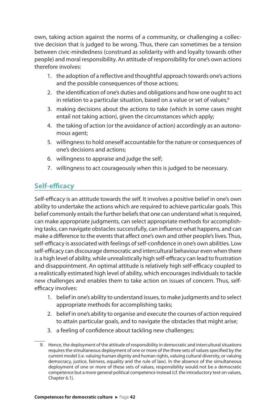own, taking action against the norms of a community, or challenging a collective decision that is judged to be wrong. Thus, there can sometimes be a tension between civic-mindedness (construed as solidarity with and loyalty towards other people) and moral responsibility. An attitude of responsibility for one's own actions therefore involves:

- 1. the adoption of a reflective and thoughtful approach towards one's actions and the possible consequences of those actions;
- 2. the identification of one's duties and obligations and how one ought to act in relation to a particular situation, based on a value or set of values;<sup>9</sup>
- 3. making decisions about the actions to take (which in some cases might entail not taking action), given the circumstances which apply;
- 4. the taking of action (or the avoidance of action) accordingly as an autonomous agent;
- 5. willingness to hold oneself accountable for the nature or consequences of one's decisions and actions;
- 6. willingness to appraise and judge the self;
- 7. willingness to act courageously when this is judged to be necessary.

#### **Self-efficacy**

Self-efficacy is an attitude towards the self. It involves a positive belief in one's own ability to undertake the actions which are required to achieve particular goals. This belief commonly entails the further beliefs that one can understand what is required, can make appropriate judgments, can select appropriate methods for accomplishing tasks, can navigate obstacles successfully, can influence what happens, and can make a difference to the events that affect one's own and other people's lives. Thus, self-efficacy is associated with feelings of self-confidence in one's own abilities. Low self-efficacy can discourage democratic and intercultural behaviour even when there is a high level of ability, while unrealistically high self-efficacy can lead to frustration and disappointment. An optimal attitude is relatively high self-efficacy coupled to a realistically estimated high level of ability, which encourages individuals to tackle new challenges and enables them to take action on issues of concern. Thus, selfefficacy involves:

- 1. belief in one's ability to understand issues, to make judgments and to select appropriate methods for accomplishing tasks;
- 2. belief in one's ability to organise and execute the courses of action required to attain particular goals, and to navigate the obstacles that might arise;
- 3. a feeling of confidence about tackling new challenges;

<sup>9.</sup> Hence, the deployment of the attitude of responsibility in democratic and intercultural situations requires the simultaneous deployment of one or more of the three sets of values specified by the current model (i.e. valuing human dignity and human rights, valuing cultural diversity, or valuing democracy, justice, fairness, equality and the rule of law). In the absence of the simultaneous deployment of one or more of these sets of values, responsibility would not be a democratic competence but a more general political competence instead (cf. the introductory text on values, Chapter 6.1).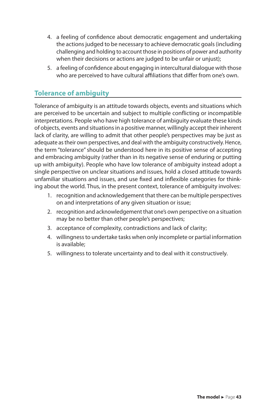- 4. a feeling of confidence about democratic engagement and undertaking the actions judged to be necessary to achieve democratic goals (including challenging and holding to account those in positions of power and authority when their decisions or actions are judged to be unfair or unjust);
- 5. a feeling of confidence about engaging in intercultural dialogue with those who are perceived to have cultural affiliations that differ from one's own.

#### **Tolerance of ambiguity**

Tolerance of ambiguity is an attitude towards objects, events and situations which are perceived to be uncertain and subject to multiple conflicting or incompatible interpretations. People who have high tolerance of ambiguity evaluate these kinds of objects, events and situations in a positive manner, willingly accept their inherent lack of clarity, are willing to admit that other people's perspectives may be just as adequate as their own perspectives, and deal with the ambiguity constructively. Hence, the term "tolerance" should be understood here in its positive sense of accepting and embracing ambiguity (rather than in its negative sense of enduring or putting up with ambiguity). People who have low tolerance of ambiguity instead adopt a single perspective on unclear situations and issues, hold a closed attitude towards unfamiliar situations and issues, and use fixed and inflexible categories for thinking about the world. Thus, in the present context, tolerance of ambiguity involves:

- 1. recognition and acknowledgement that there can be multiple perspectives on and interpretations of any given situation or issue;
- 2. recognition and acknowledgement that one's own perspective on a situation may be no better than other people's perspectives;
- 3. acceptance of complexity, contradictions and lack of clarity;
- 4. willingness to undertake tasks when only incomplete or partial information is available;
- 5. willingness to tolerate uncertainty and to deal with it constructively.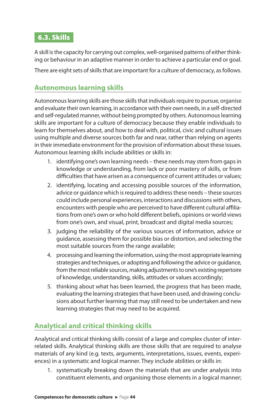### 6.3. Skills

A skill is the capacity for carrying out complex, well-organised patterns of either thinking or behaviour in an adaptive manner in order to achieve a particular end or goal.

There are eight sets of skills that are important for a culture of democracy, as follows.

#### **Autonomous learning skills**

Autonomous learning skills are those skills that individuals require to pursue, organise and evaluate their own learning, in accordance with their own needs, in a self-directed and self-regulated manner, without being prompted by others. Autonomous learning skills are important for a culture of democracy because they enable individuals to learn for themselves about, and how to deal with, political, civic and cultural issues using multiple and diverse sources both far and near, rather than relying on agents in their immediate environment for the provision of information about these issues. Autonomous learning skills include abilities or skills in:

- 1. identifying one's own learning needs these needs may stem from gaps in knowledge or understanding, from lack or poor mastery of skills, or from difficulties that have arisen as a consequence of current attitudes or values;
- 2. identifying, locating and accessing possible sources of the information, advice or guidance which is required to address these needs – these sources could include personal experiences, interactions and discussions with others, encounters with people who are perceived to have different cultural affiliations from one's own or who hold different beliefs, opinions or world views from one's own, and visual, print, broadcast and digital media sources;
- 3. judging the reliability of the various sources of information, advice or guidance, assessing them for possible bias or distortion, and selecting the most suitable sources from the range available;
- 4. processing and learning the information, using the most appropriate learning strategies and techniques, or adopting and following the advice or guidance, from the most reliable sources, making adjustments to one's existing repertoire of knowledge, understanding, skills, attitudes or values accordingly;
- 5. thinking about what has been learned, the progress that has been made, evaluating the learning strategies that have been used, and drawing conclusions about further learning that may still need to be undertaken and new learning strategies that may need to be acquired.

## **Analytical and critical thinking skills**

Analytical and critical thinking skills consist of a large and complex cluster of interrelated skills. Analytical thinking skills are those skills that are required to analyse materials of any kind (e.g. texts, arguments, interpretations, issues, events, experiences) in a systematic and logical manner. They include abilities or skills in:

1. systematically breaking down the materials that are under analysis into constituent elements, and organising those elements in a logical manner;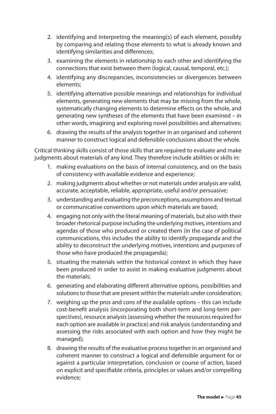- 2. identifying and interpreting the meaning(s) of each element, possibly by comparing and relating those elements to what is already known and identifying similarities and differences;
- 3. examining the elements in relationship to each other and identifying the connections that exist between them (logical, causal, temporal, etc.);
- 4. identifying any discrepancies, inconsistencies or divergences between elements;
- 5. identifying alternative possible meanings and relationships for individual elements, generating new elements that may be missing from the whole, systematically changing elements to determine effects on the whole, and generating new syntheses of the elements that have been examined – in other words, imagining and exploring novel possibilities and alternatives;
- 6. drawing the results of the analysis together in an organised and coherent manner to construct logical and defensible conclusions about the whole.

Critical thinking skills consist of those skills that are required to evaluate and make judgments about materials of any kind. They therefore include abilities or skills in:

- 1. making evaluations on the basis of internal consistency, and on the basis of consistency with available evidence and experience;
- 2. making judgments about whether or not materials under analysis are valid, accurate, acceptable, reliable, appropriate, useful and/or persuasive;
- 3. understanding and evaluating the preconceptions, assumptions and textual or communicative conventions upon which materials are based;
- 4. engaging not only with the literal meaning of materials, but also with their broader rhetorical purpose including the underlying motives, intentions and agendas of those who produced or created them (in the case of political communications, this includes the ability to identify propaganda and the ability to deconstruct the underlying motives, intentions and purposes of those who have produced the propaganda);
- 5. situating the materials within the historical context in which they have been produced in order to assist in making evaluative judgments about the materials;
- 6. generating and elaborating different alternative options, possibilities and solutions to those that are present within the materials under consideration;
- 7. weighing up the pros and cons of the available options this can include cost-benefit analysis (incorporating both short-term and long-term perspectives), resource analysis (assessing whether the resources required for each option are available in practice) and risk analysis (understanding and assessing the risks associated with each option and how they might be managed);
- 8. drawing the results of the evaluative process together in an organised and coherent manner to construct a logical and defensible argument for or against a particular interpretation, conclusion or course of action, based on explicit and specifiable criteria, principles or values and/or compelling evidence;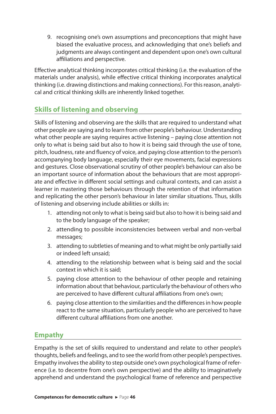9. recognising one's own assumptions and preconceptions that might have biased the evaluative process, and acknowledging that one's beliefs and judgments are always contingent and dependent upon one's own cultural affiliations and perspective.

Effective analytical thinking incorporates critical thinking (i.e. the evaluation of the materials under analysis), while effective critical thinking incorporates analytical thinking (i.e. drawing distinctions and making connections). For this reason, analytical and critical thinking skills are inherently linked together.

## **Skills of listening and observing**

Skills of listening and observing are the skills that are required to understand what other people are saying and to learn from other people's behaviour. Understanding what other people are saying requires active listening – paying close attention not only to what is being said but also to how it is being said through the use of tone, pitch, loudness, rate and fluency of voice, and paying close attention to the person's accompanying body language, especially their eye movements, facial expressions and gestures. Close observational scrutiny of other people's behaviour can also be an important source of information about the behaviours that are most appropriate and effective in different social settings and cultural contexts, and can assist a learner in mastering those behaviours through the retention of that information and replicating the other person's behaviour in later similar situations. Thus, skills of listening and observing include abilities or skills in:

- 1. attending not only to what is being said but also to how it is being said and to the body language of the speaker;
- 2. attending to possible inconsistencies between verbal and non-verbal messages;
- 3. attending to subtleties of meaning and to what might be only partially said or indeed left unsaid;
- 4. attending to the relationship between what is being said and the social context in which it is said;
- 5. paying close attention to the behaviour of other people and retaining information about that behaviour, particularly the behaviour of others who are perceived to have different cultural affiliations from one's own;
- 6. paying close attention to the similarities and the differences in how people react to the same situation, particularly people who are perceived to have different cultural affiliations from one another.

#### **Empathy**

Empathy is the set of skills required to understand and relate to other people's thoughts, beliefs and feelings, and to see the world from other people's perspectives. Empathy involves the ability to step outside one's own psychological frame of reference (i.e. to decentre from one's own perspective) and the ability to imaginatively apprehend and understand the psychological frame of reference and perspective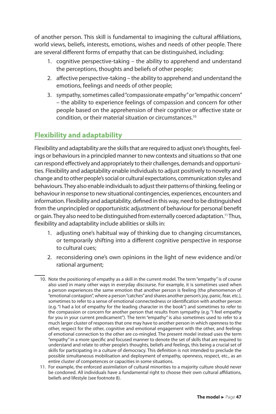of another person. This skill is fundamental to imagining the cultural affiliations, world views, beliefs, interests, emotions, wishes and needs of other people. There are several different forms of empathy that can be distinguished, including:

- 1. cognitive perspective-taking the ability to apprehend and understand the perceptions, thoughts and beliefs of other people;
- 2. affective perspective-taking the ability to apprehend and understand the emotions, feelings and needs of other people;
- 3. sympathy, sometimes called "compassionate empathy" or "empathic concern" – the ability to experience feelings of compassion and concern for other people based on the apprehension of their cognitive or affective state or condition, or their material situation or circumstances.<sup>10</sup>

## **Flexibility and adaptability**

Flexibility and adaptability are the skills that are required to adjust one's thoughts, feelings or behaviours in a principled manner to new contexts and situations so that one can respond effectively and appropriately to their challenges, demands and opportunities. Flexibility and adaptability enable individuals to adjust positively to novelty and change and to other people's social or cultural expectations, communication styles and behaviours. They also enable individuals to adjust their patterns of thinking, feeling or behaviour in response to new situational contingencies, experiences, encounters and information. Flexibility and adaptability, defined in this way, need to be distinguished from the unprincipled or opportunistic adjustment of behaviour for personal benefit or gain. They also need to be distinguished from externally coerced adaptation.<sup>11</sup> Thus, flexibility and adaptability include abilities or skills in:

- 1. adjusting one's habitual way of thinking due to changing circumstances, or temporarily shifting into a different cognitive perspective in response to cultural cues;
- 2. reconsidering one's own opinions in the light of new evidence and/or rational argument;
- 10. Note the positioning of empathy as a skill in the current model. The term "empathy" is of course also used in many other ways in everyday discourse. For example, it is sometimes used when a person experiences the same emotion that another person is feeling (the phenomenon of "emotional contagion", where a person "catches" and shares another person's joy, panic, fear, etc.), sometimes to refer to a sense of emotional connectedness or identification with another person (e.g. "I had a lot of empathy for the leading character in the book") and sometimes to refer to the compassion or concern for another person that results from sympathy (e.g. "I feel empathy for you in your current predicament"). The term "empathy" is also sometimes used to refer to a much larger cluster of responses that one may have to another person in which openness to the other, respect for the other, cognitive and emotional engagement with the other, and feelings of emotional connection to the other are co-mingled. The present model instead uses the term "empathy" in a more specific and focused manner to denote the set of skills that are required to understand and relate to other people's thoughts, beliefs and feelings, this being a crucial set of skills for participating in a culture of democracy. This definition is not intended to preclude the possible simultaneous mobilisation and deployment of empathy, openness, respect, etc., as an entire cluster of competences or capacities in some situations.
- 11. For example, the enforced assimilation of cultural minorities to a majority culture should never be condoned. All individuals have a fundamental right to choose their own cultural affiliations, beliefs and lifestyle (see footnote 8).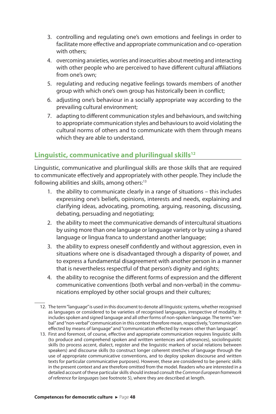- 3. controlling and regulating one's own emotions and feelings in order to facilitate more effective and appropriate communication and co-operation with others;
- 4. overcoming anxieties, worries and insecurities about meeting and interacting with other people who are perceived to have different cultural affiliations from one's own;
- 5. regulating and reducing negative feelings towards members of another group with which one's own group has historically been in conflict;
- 6. adjusting one's behaviour in a socially appropriate way according to the prevailing cultural environment;
- 7. adapting to different communication styles and behaviours, and switching to appropriate communication styles and behaviours to avoid violating the cultural norms of others and to communicate with them through means which they are able to understand.

#### **Linguistic, communicative and plurilingual skills<sup>12</sup>**

Linguistic, communicative and plurilingual skills are those skills that are required to communicate effectively and appropriately with other people. They include the following abilities and skills, among others:<sup>13</sup>

- 1. the ability to communicate clearly in a range of situations this includes expressing one's beliefs, opinions, interests and needs, explaining and clarifying ideas, advocating, promoting, arguing, reasoning, discussing, debating, persuading and negotiating;
- 2. the ability to meet the communicative demands of intercultural situations by using more than one language or language variety or by using a shared language or lingua franca to understand another language;
- 3. the ability to express oneself confidently and without aggression, even in situations where one is disadvantaged through a disparity of power, and to express a fundamental disagreement with another person in a manner that is nevertheless respectful of that person's dignity and rights;
- 4. the ability to recognise the different forms of expression and the different communicative conventions (both verbal and non-verbal) in the communications employed by other social groups and their cultures;
- 12. The term "language" is used in this document to denote all linguistic systems, whether recognised as languages or considered to be varieties of recognised languages, irrespective of modality. It includes spoken and signed language and all other forms of non-spoken language. The terms "verbal" and "non-verbal" communication in this context therefore mean, respectively, "communication effected by means of language" and "communication effected by means other than language".
- 13. First and foremost, of course, effective and appropriate communication requires linguistic skills (to produce and comprehend spoken and written sentences and utterances), sociolinguistic skills (to process accent, dialect, register and the linguistic markers of social relations between speakers) and discourse skills (to construct longer coherent stretches of language through the use of appropriate communicative conventions, and to deploy spoken discourse and written texts for particular communicative purposes). However, these are considered to be generic skills in the present context and are therefore omitted from the model. Readers who are interested in a detailed account of these particular skills should instead consult the *Common European framework of reference for languages* (see footnote 5), where they are described at length.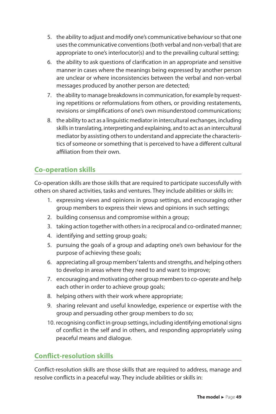- 5. the ability to adjust and modify one's communicative behaviour so that one uses the communicative conventions (both verbal and non-verbal) that are appropriate to one's interlocutor(s) and to the prevailing cultural setting;
- 6. the ability to ask questions of clarification in an appropriate and sensitive manner in cases where the meanings being expressed by another person are unclear or where inconsistencies between the verbal and non-verbal messages produced by another person are detected;
- 7. the ability to manage breakdowns in communication, for example by requesting repetitions or reformulations from others, or providing restatements, revisions or simplifications of one's own misunderstood communications;
- 8. the ability to act as a linguistic mediator in intercultural exchanges, including skills in translating, interpreting and explaining, and to act as an intercultural mediator by assisting others to understand and appreciate the characteristics of someone or something that is perceived to have a different cultural affiliation from their own.

#### **Co-operation skills**

Co-operation skills are those skills that are required to participate successfully with others on shared activities, tasks and ventures. They include abilities or skills in:

- 1. expressing views and opinions in group settings, and encouraging other group members to express their views and opinions in such settings;
- 2. building consensus and compromise within a group;
- 3. taking action together with others in a reciprocal and co-ordinated manner;
- 4. identifying and setting group goals;
- 5. pursuing the goals of a group and adapting one's own behaviour for the purpose of achieving these goals;
- 6. appreciating all group members' talents and strengths, and helping others to develop in areas where they need to and want to improve;
- 7. encouraging and motivating other group members to co-operate and help each other in order to achieve group goals;
- 8. helping others with their work where appropriate;
- 9. sharing relevant and useful knowledge, experience or expertise with the group and persuading other group members to do so;
- 10. recognising conflict in group settings, including identifying emotional signs of conflict in the self and in others, and responding appropriately using peaceful means and dialogue.

#### **Conflict-resolution skills**

Conflict-resolution skills are those skills that are required to address, manage and resolve conflicts in a peaceful way. They include abilities or skills in: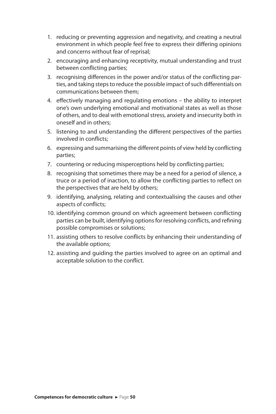- 1. reducing or preventing aggression and negativity, and creating a neutral environment in which people feel free to express their differing opinions and concerns without fear of reprisal;
- 2. encouraging and enhancing receptivity, mutual understanding and trust between conflicting parties;
- 3. recognising differences in the power and/or status of the conflicting parties, and taking steps to reduce the possible impact of such differentials on communications between them;
- 4. effectively managing and regulating emotions the ability to interpret one's own underlying emotional and motivational states as well as those of others, and to deal with emotional stress, anxiety and insecurity both in oneself and in others;
- 5. listening to and understanding the different perspectives of the parties involved in conflicts;
- 6. expressing and summarising the different points of view held by conflicting parties;
- 7. countering or reducing misperceptions held by conflicting parties;
- 8. recognising that sometimes there may be a need for a period of silence, a truce or a period of inaction, to allow the conflicting parties to reflect on the perspectives that are held by others;
- 9. identifying, analysing, relating and contextualising the causes and other aspects of conflicts;
- 10. identifying common ground on which agreement between conflicting parties can be built, identifying options for resolving conflicts, and refining possible compromises or solutions;
- 11. assisting others to resolve conflicts by enhancing their understanding of the available options;
- 12. assisting and guiding the parties involved to agree on an optimal and acceptable solution to the conflict.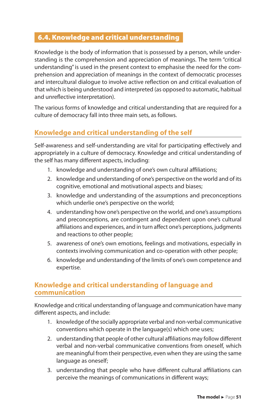#### 6.4. Knowledge and critical understanding

Knowledge is the body of information that is possessed by a person, while understanding is the comprehension and appreciation of meanings. The term "critical understanding" is used in the present context to emphasise the need for the comprehension and appreciation of meanings in the context of democratic processes and intercultural dialogue to involve active reflection on and critical evaluation of that which is being understood and interpreted (as opposed to automatic, habitual and unreflective interpretation).

The various forms of knowledge and critical understanding that are required for a culture of democracy fall into three main sets, as follows.

#### **Knowledge and critical understanding of the self**

Self-awareness and self-understanding are vital for participating effectively and appropriately in a culture of democracy. Knowledge and critical understanding of the self has many different aspects, including:

- 1. knowledge and understanding of one's own cultural affiliations;
- 2. knowledge and understanding of one's perspective on the world and of its cognitive, emotional and motivational aspects and biases;
- 3. knowledge and understanding of the assumptions and preconceptions which underlie one's perspective on the world;
- 4. understanding how one's perspective on the world, and one's assumptions and preconceptions, are contingent and dependent upon one's cultural affiliations and experiences, and in turn affect one's perceptions, judgments and reactions to other people;
- 5. awareness of one's own emotions, feelings and motivations, especially in contexts involving communication and co-operation with other people;
- 6. knowledge and understanding of the limits of one's own competence and expertise.

#### **Knowledge and critical understanding of language and communication**

Knowledge and critical understanding of language and communication have many different aspects, and include:

- 1. knowledge of the socially appropriate verbal and non-verbal communicative conventions which operate in the language(s) which one uses;
- 2. understanding that people of other cultural affiliations may follow different verbal and non-verbal communicative conventions from oneself, which are meaningful from their perspective, even when they are using the same language as oneself;
- 3. understanding that people who have different cultural affiliations can perceive the meanings of communications in different ways;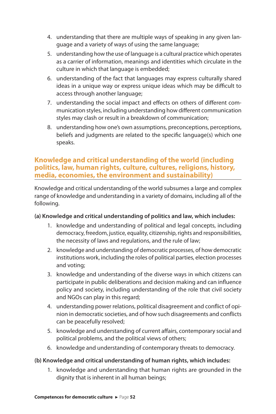- 4. understanding that there are multiple ways of speaking in any given language and a variety of ways of using the same language;
- 5. understanding how the use of language is a cultural practice which operates as a carrier of information, meanings and identities which circulate in the culture in which that language is embedded;
- 6. understanding of the fact that languages may express culturally shared ideas in a unique way or express unique ideas which may be difficult to access through another language;
- 7. understanding the social impact and effects on others of different communication styles, including understanding how different communication styles may clash or result in a breakdown of communication;
- 8. understanding how one's own assumptions, preconceptions, perceptions, beliefs and judgments are related to the specific language(s) which one speaks.

#### **Knowledge and critical understanding of the world (including politics, law, human rights, culture, cultures, religions, history, media, economies, the environment and sustainability)**

Knowledge and critical understanding of the world subsumes a large and complex range of knowledge and understanding in a variety of domains, including all of the following.

#### **(a) Knowledge and critical understanding of politics and law, which includes:**

- 1. knowledge and understanding of political and legal concepts, including democracy, freedom, justice, equality, citizenship, rights and responsibilities, the necessity of laws and regulations, and the rule of law;
- 2. knowledge and understanding of democratic processes, of how democratic institutions work, including the roles of political parties, election processes and voting;
- 3. knowledge and understanding of the diverse ways in which citizens can participate in public deliberations and decision making and can influence policy and society, including understanding of the role that civil society and NGOs can play in this regard;
- 4. understanding power relations, political disagreement and conflict of opinion in democratic societies, and of how such disagreements and conflicts can be peacefully resolved;
- 5. knowledge and understanding of current affairs, contemporary social and political problems, and the political views of others;
- 6. knowledge and understanding of contemporary threats to democracy.

#### **(b) Knowledge and critical understanding of human rights, which includes:**

1. knowledge and understanding that human rights are grounded in the dignity that is inherent in all human beings;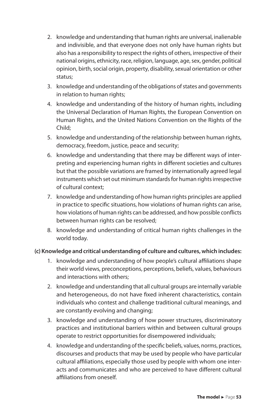- 2. knowledge and understanding that human rights are universal, inalienable and indivisible, and that everyone does not only have human rights but also has a responsibility to respect the rights of others, irrespective of their national origins, ethnicity, race, religion, language, age, sex, gender, political opinion, birth, social origin, property, disability, sexual orientation or other status;
- 3. knowledge and understanding of the obligations of states and governments in relation to human rights;
- 4. knowledge and understanding of the history of human rights, including the Universal Declaration of Human Rights, the European Convention on Human Rights, and the United Nations Convention on the Rights of the Child;
- 5. knowledge and understanding of the relationship between human rights, democracy, freedom, justice, peace and security;
- 6. knowledge and understanding that there may be different ways of interpreting and experiencing human rights in different societies and cultures but that the possible variations are framed by internationally agreed legal instruments which set out minimum standards for human rights irrespective of cultural context;
- 7. knowledge and understanding of how human rights principles are applied in practice to specific situations, how violations of human rights can arise, how violations of human rights can be addressed, and how possible conflicts between human rights can be resolved;
- 8. knowledge and understanding of critical human rights challenges in the world today.

#### **(c) Knowledge and critical understanding of culture and cultures, which includes:**

- 1. knowledge and understanding of how people's cultural affiliations shape their world views, preconceptions, perceptions, beliefs, values, behaviours and interactions with others;
- 2. knowledge and understanding that all cultural groups are internally variable and heterogeneous, do not have fixed inherent characteristics, contain individuals who contest and challenge traditional cultural meanings, and are constantly evolving and changing;
- 3. knowledge and understanding of how power structures, discriminatory practices and institutional barriers within and between cultural groups operate to restrict opportunities for disempowered individuals;
- 4. knowledge and understanding of the specific beliefs, values, norms, practices, discourses and products that may be used by people who have particular cultural affiliations, especially those used by people with whom one interacts and communicates and who are perceived to have different cultural affiliations from oneself.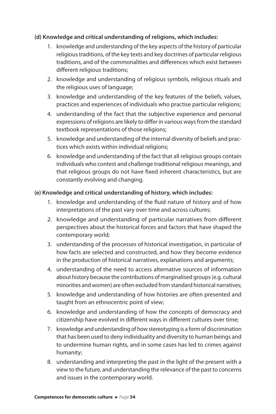#### **(d) Knowledge and critical understanding of religions, which includes:**

- 1. knowledge and understanding of the key aspects of the history of particular religious traditions, of the key texts and key doctrines of particular religious traditions, and of the commonalities and differences which exist between different religious traditions:
- 2. knowledge and understanding of religious symbols, religious rituals and the religious uses of language;
- 3. knowledge and understanding of the key features of the beliefs, values, practices and experiences of individuals who practise particular religions;
- 4. understanding of the fact that the subjective experience and personal expressions of religions are likely to differ in various ways from the standard textbook representations of those religions;
- 5. knowledge and understanding of the internal diversity of beliefs and practices which exists within individual religions;
- 6. knowledge and understanding of the fact that all religious groups contain individuals who contest and challenge traditional religious meanings, and that religious groups do not have fixed inherent characteristics, but are constantly evolving and changing.

#### **(e) Knowledge and critical understanding of history, which includes:**

- 1. knowledge and understanding of the fluid nature of history and of how interpretations of the past vary over time and across cultures;
- 2. knowledge and understanding of particular narratives from different perspectives about the historical forces and factors that have shaped the contemporary world;
- 3. understanding of the processes of historical investigation, in particular of how facts are selected and constructed, and how they become evidence in the production of historical narratives, explanations and arguments;
- 4. understanding of the need to access alternative sources of information about history because the contributions of marginalised groups (e.g. cultural minorities and women) are often excluded from standard historical narratives;
- 5. knowledge and understanding of how histories are often presented and taught from an ethnocentric point of view;
- 6. knowledge and understanding of how the concepts of democracy and citizenship have evolved in different ways in different cultures over time;
- 7. knowledge and understanding of how stereotyping is a form of discrimination that has been used to deny individuality and diversity to human beings and to undermine human rights, and in some cases has led to crimes against humanity;
- 8. understanding and interpreting the past in the light of the present with a view to the future, and understanding the relevance of the past to concerns and issues in the contemporary world.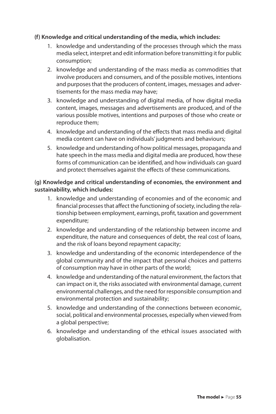#### **(f) Knowledge and critical understanding of the media, which includes:**

- 1. knowledge and understanding of the processes through which the mass media select, interpret and edit information before transmitting it for public consumption;
- 2. knowledge and understanding of the mass media as commodities that involve producers and consumers, and of the possible motives, intentions and purposes that the producers of content, images, messages and advertisements for the mass media may have;
- 3. knowledge and understanding of digital media, of how digital media content, images, messages and advertisements are produced, and of the various possible motives, intentions and purposes of those who create or reproduce them;
- 4. knowledge and understanding of the effects that mass media and digital media content can have on individuals' judgments and behaviours;
- 5. knowledge and understanding of how political messages, propaganda and hate speech in the mass media and digital media are produced, how these forms of communication can be identified, and how individuals can guard and protect themselves against the effects of these communications.

#### **(g) Knowledge and critical understanding of economies, the environment and sustainability, which includes:**

- 1. knowledge and understanding of economies and of the economic and financial processes that affect the functioning of society, including the relationship between employment, earnings, profit, taxation and government expenditure;
- 2. knowledge and understanding of the relationship between income and expenditure, the nature and consequences of debt, the real cost of loans, and the risk of loans beyond repayment capacity;
- 3. knowledge and understanding of the economic interdependence of the global community and of the impact that personal choices and patterns of consumption may have in other parts of the world;
- 4. knowledge and understanding of the natural environment, the factors that can impact on it, the risks associated with environmental damage, current environmental challenges, and the need for responsible consumption and environmental protection and sustainability;
- 5. knowledge and understanding of the connections between economic, social, political and environmental processes, especially when viewed from a global perspective;
- 6. knowledge and understanding of the ethical issues associated with globalisation.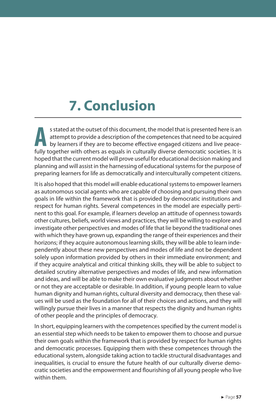# **7. Conclusion**

**A** s stated at the outset of this document, the model that is presented here is an attempt to provide a description of the competences that need to be acquired by learners if they are to become effective engaged citizens and live peacefully together with others as equals in culturally diverse democratic societies. It is hoped that the current model will prove useful for educational decision making and planning and will assist in the harnessing of educational systems for the purpose of preparing learners for life as democratically and interculturally competent citizens.

It is also hoped that this model will enable educational systems to empower learners as autonomous social agents who are capable of choosing and pursuing their own goals in life within the framework that is provided by democratic institutions and respect for human rights. Several competences in the model are especially pertinent to this goal. For example, if learners develop an attitude of openness towards other cultures, beliefs, world views and practices, they will be willing to explore and investigate other perspectives and modes of life that lie beyond the traditional ones with which they have grown up, expanding the range of their experiences and their horizons; if they acquire autonomous learning skills, they will be able to learn independently about these new perspectives and modes of life and not be dependent solely upon information provided by others in their immediate environment; and if they acquire analytical and critical thinking skills, they will be able to subject to detailed scrutiny alternative perspectives and modes of life, and new information and ideas, and will be able to make their own evaluative judgments about whether or not they are acceptable or desirable. In addition, if young people learn to value human dignity and human rights, cultural diversity and democracy, then these values will be used as the foundation for all of their choices and actions, and they will willingly pursue their lives in a manner that respects the dignity and human rights of other people and the principles of democracy.

In short, equipping learners with the competences specified by the current model is an essential step which needs to be taken to empower them to choose and pursue their own goals within the framework that is provided by respect for human rights and democratic processes. Equipping them with these competences through the educational system, alongside taking action to tackle structural disadvantages and inequalities, is crucial to ensure the future health of our culturally diverse democratic societies and the empowerment and flourishing of all young people who live within them.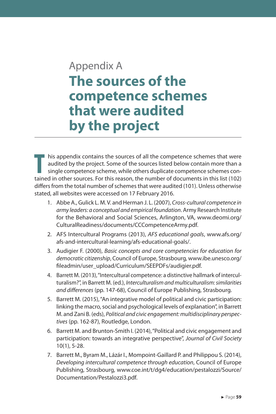## Appendix A **The sources of the competence schemes that were audited by the project**

**T** his appendix contains the sources of all the competence schemes that were audited by the project. Some of the sources listed below contain more than a single competence scheme, while others duplicate competence schemes contained in other sources. For this reason, the number of documents in this list (102) differs from the total number of schemes that were audited (101). Unless otherwise stated, all websites were accessed on 17 February 2016.

- 1. Abbe A., Gulick L. M. V. and Herman J. L. (2007), *Cross-cultural competence in army leaders: a conceptual and empirical foundation*. Army Research Institute for the Behavioral and Social Sciences, Arlington, VA, www.deomi.org/ CulturalReadiness/documents/CCCompetenceArmy.pdf.
- 2. AFS Intercultural Programs (2013), *AFS educational goals*, www.afs.org/ afs-and-intercultural-learning/afs-educational-goals/.
- 3. Audigier F. (2000), *Basic concepts and core competencies for education for democratic citizenship*, Council of Europe, Strasbourg, www.ibe.unesco.org/ fileadmin/user\_upload/Curriculum/SEEPDFs/audigier.pdf.
- 4. Barrett M. (2013), "Intercultural competence: a distinctive hallmark of interculturalism?", in Barrett M. (ed.), *Interculturalism and multiculturalism: similarities and differences* (pp. 147-68), Council of Europe Publishing, Strasbourg.
- 5. Barrett M. (2015), "An integrative model of political and civic participation: linking the macro, social and psychological levels of explanation", in Barrett M. and Zani B. (eds), *Political and civic engagement: multidisciplinary perspectives* (pp. 162-87), Routledge, London.
- 6. Barrett M. and Brunton-Smith I. (2014), "Political and civic engagement and participation: towards an integrative perspective", *Journal of Civil Society* 10(1), 5-28.
- 7. Barrett M., Byram M., Lázár I., Mompoint-Gaillard P. and Philippou S. (2014), *Developing intercultural competence through education*, Council of Europe Publishing, Strasbourg, www.coe.int/t/dg4/education/pestalozzi/Source/ Documentation/Pestalozzi3.pdf.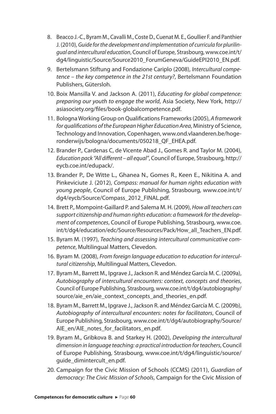- 8. Beacco J.-C., Byram M., Cavalli M., Coste D., Cuenat M. E., Goullier F. and Panthier J. (2010), *Guide for the development and implementation of curricula for plurilingual and intercultural education*, Council of Europe, Strasbourg, www.coe.int/t/ dg4/linguistic/Source/Source2010\_ForumGeneva/GuideEPI2010\_EN.pdf.
- 9. Bertelsmann Stiftung and Fondazione Cariplo (2008), *Intercultural competence – the key competence in the 21st century?*, Bertelsmann Foundation Publishers, Gütersloh.
- 10. Boix Mansilla V. and Jackson A. (2011), *Educating for global competence: preparing our youth to engage the world*, Asia Society, New York, http:// asiasociety.org/files/book-globalcompetence.pdf.
- 11. Bologna Working Group on Qualifications Frameworks (2005), *A framework for qualifications of the European Higher Education Area*, Ministry of Science, Technology and Innovation, Copenhagen, www.ond.vlaanderen.be/hogeronderwijs/bologna/documents/050218\_QF\_EHEA.pdf.
- 12. Brander P., Cardenas C, de Vicente Abad J., Gomes R. and Taylor M. (2004), *Education pack "All different – all equal"*, Council of Europe, Strasbourg, http:// eycb.coe.int/edupack/.
- 13. Brander P., De Witte L., Ghanea N., Gomes R., Keen E., Nikitina A. and Pinkeviciute J. (2012), *Compass: manual for human rights education with young people*, Council of Europe Publishing, Strasbourg, www.coe.int/t/ dg4/eycb/Source/Compass\_2012\_FINAL.pdf.
- 14. Brett P., Mompoint-Gaillard P. and Salema M. H. (2009), *How all teachers can support citizenship and human rights education: a framework for the development of competences*, Council of Europe Publishing, Strasbourg, www.coe. int/t/dg4/education/edc/Source/Resources/Pack/How\_all\_Teachers\_EN.pdf.
- 15. Byram M. (1997), *Teaching and assessing intercultural communicative competence*, Multilingual Matters, Clevedon.
- 16. Byram M. (2008), *From foreign language education to education for intercultural citizenship*, Multilingual Matters, Clevedon.
- 17. Byram M., Barrett M., Ipgrave J., Jackson R. and Méndez García M. C. (2009a), *Autobiography of intercultural encounters: context, concepts and theories*, Council of Europe Publishing, Strasbourg, www.coe.int/t/dg4/autobiography/ source/aie\_en/aie\_context\_concepts\_and\_theories\_en.pdf.
- 18. Byram M., Barrett M., Ipgrave J., Jackson R. and Méndez García M. C. (2009b), *Autobiography of intercultural encounters: notes for facilitators*, Council of Europe Publishing, Strasbourg, www.coe.int/t/dg4/autobiography/Source/ AIE\_en/AIE\_notes\_for\_facilitators\_en.pdf.
- 19. Byram M., Gribkova B. and Starkey H. (2002), *Developing the intercultural dimension in language teaching: a practical introduction for teachers*, Council of Europe Publishing, Strasbourg, www.coe.int/t/dg4/linguistic/source/ quide dimintercult en.pdf.
- 20. Campaign for the Civic Mission of Schools (CCMS) (2011), *Guardian of democracy: The Civic Mission of Schools*, Campaign for the Civic Mission of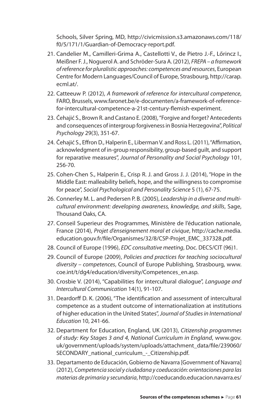Schools, Silver Spring, MD, http://civicmission.s3.amazonaws.com/118/ f0/5/171/1/Guardian-of-Democracy-report.pdf.

- 21. Candelier M., Camilleri-Grima A., Castellotti V., de Pietro J.-F., Lőrincz I., Meißner F. J., Noguerol A. and Schröder-Sura A. (2012), *FREPA – a framework of reference for pluralistic approaches: competences and resources*, European Centre for Modern Languages/Council of Europe, Strasbourg, http://carap. ecml.at/.
- 22. Catteeuw P. (2012), *A framework of reference for intercultural competence*, FARO, Brussels, www.faronet.be/e-documenten/a-framework-of-referencefor-intercultural-competence-a-21st-century-flemish-experiment.
- 23. Čehajić S., Brown R. and Castano E. (2008),"Forgive and forget? Antecedents and consequences of intergroup forgiveness in Bosnia Herzegovina", *Political Psychology* 29(3), 351-67.
- 24. Čehajić S., Effron D., Halperin E., Liberman V. and Ross L. (2011), "Affirmation, acknowledgment of in-group responsibility, group-based guilt, and support for reparative measures", *Journal of Personality and Social Psychology* 101, 256-70.
- 25. Cohen-Chen S., Halperin E., Crisp R. J. and Gross J. J. (2014), "Hope in the Middle East: malleability beliefs, hope, and the willingness to compromise for peace", *Social Psychological and Personality Science* 5 (1), 67-75.
- 26. Connerley M. L. and Pedersen P. B. (2005), *Leadership in a diverse and multicultural environment: developing awareness, knowledge, and skills*, Sage, Thousand Oaks, CA.
- 27. Conseil Superieur des Programmes, Ministère de l'éducation nationale, France (2014), *Projet d'enseignement moral et civique*, http://cache.media. education.gouv.fr/file/Organismes/32/8/CSP-Projet\_EMC\_337328.pdf.
- 28. Council of Europe (1996), *EDC consultative meeting*, Doc. DECS/CIT (96)1.
- 29. Council of Europe (2009), *Policies and practices for teaching sociocultural diversity – competences*, Council of Europe Publishing, Strasbourg, www. coe.int/t/dg4/education/diversity/Competences\_en.asp.
- 30. Crosbie V. (2014), "Capabilities for intercultural dialogue", *Language and Intercultural Communication* 14(1), 91-107.
- 31. Deardorff D. K. (2006), "The identification and assessment of intercultural competence as a student outcome of internationalization at institutions of higher education in the United States", *Journal of Studies in International Education* 10, 241-66.
- 32. Department for Education, England, UK (2013), *Citizenship programmes of study: Key Stages 3 and 4, National Curriculum in England*, www.gov. uk/government/uploads/system/uploads/attachment\_data/file/239060/ SECONDARY\_national\_curriculum - Citizenship.pdf.
- 33. Departamento de Educación, Gobierno de Navarra [Government of Navarra] (2012), *Competencia social y ciudadana y coeducación: orientaciones para las materias de primaria y secundaria*, http://coeducando.educacion.navarra.es/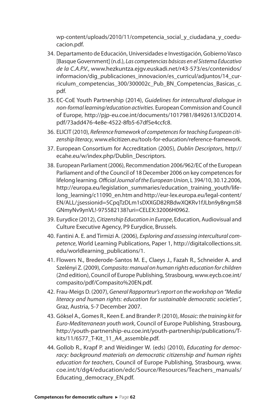wp-content/uploads/2010/11/competencia\_social\_y\_ciudadana\_y\_coeducacion.pdf.

- 34. Departamento de Educación, Universidades e Investigación, Gobierno Vasco [Basque Government] (n.d.), *Las competencias básicas en el Sistema Educativo de la C.A.P.V.*, www.hezkuntza.ejgv.euskadi.net/r43-573/es/contenidos/ informacion/dig\_publicaciones\_innovacion/es\_curricul/adjuntos/14\_curriculum competencias 300/300002c Pub BN Competencias Basicas c. pdf.
- 35. EC-CoE Youth Partnership (2014), *Guidelines for intercultural dialogue in non-formal learning/education activities*. European Commission and Council of Europe, http://pjp-eu.coe.int/documents/1017981/8492613/ICD2014. pdf/73add476-4e8e-4522-8fb5-67df5e4ccfc8.
- 36. ELICIT (2010), *Reference framework of competences for teaching European citizenship literacy*, www.elicitizen.eu/tools-for-education/reference-framework.
- 37. European Consortium for Accreditation (2005), *Dublin Descriptors*, http:// ecahe.eu/w/index.php/Dublin\_Descriptors.
- 38. European Parliament (2006), Recommendation 2006/962/EC of the European Parliament and of the Council of 18 December 2006 on key competences for lifelong learning. *Official Journal of the European Union*, L 394/10, 30.12.2006, http://europa.eu/legislation\_summaries/education\_training\_youth/lifelong\_learning/c11090\_en.htm and http://eur-lex.europa.eu/legal-content/ EN/ALL/;jsessionid=5CpqTzDLm1sDXXGD82RBdwXQKRv1fJLbn9y8ngmS8 GNmyNv9ynVL!-975582138?uri=CELEX:32006H0962.
- 39. Eurydice (2012), *Citizenship Education in Europe*, Education, Audiovisual and Culture Executive Agency, P9 Eurydice, Brussels.
- 40. Fantini A. E. and Tirmizi A. (2006), *Exploring and assessing intercultural competence*, World Learning Publications, Paper 1, http://digitalcollections.sit. edu/worldlearning\_publications/1.
- 41. Flowers N., Brederode-Santos M. E., Claeys J., Fazah R., Schneider A. and Szelényi Z. (2009), *Compasito: manual on human rights education for children* (2nd edition), Council of Europe Publishing, Strasbourg, www.eycb.coe.int/ compasito/pdf/Compasito%20EN.pdf.
- 42. Frau-Meigs D. (2007), *General Rapporteur's report on the workshop on "Media literacy and human rights: education for sustainable democratic societies"*, Graz, Austria, 5-7 December 2007.
- 43. Göksel A., Gomes R., Keen E. and Brander P. (2010), *Mosaic: the training kit for Euro-Mediterranean youth work*, Council of Europe Publishing, Strasbourg, http://youth-partnership-eu.coe.int/youth-partnership/publications/Tkits/11/6577\_T-Kit\_11\_A4\_assemble.pdf.
- 44. Gollob R., Krapf P. and Weidinger W. (eds) (2010), *Educating for democracy: background materials on democratic citizenship and human rights education for teachers*, Council of Europe Publishing, Strasbourg, www. coe.int/t/dg4/education/edc/Source/Resources/Teachers\_manuals/ Educating\_democracy\_EN.pdf.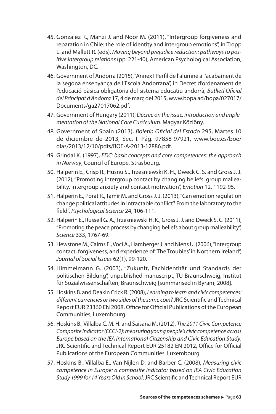- 45. Gonzalez R., Manzi J. and Noor M. (2011), "Intergroup forgiveness and reparation in Chile: the role of identity and intergroup emotions", in Tropp L. and Mallett R. (eds), *Moving beyond prejudice reduction: pathways to positive intergroup relations* (pp. 221-40), American Psychological Association, Washington, DC.
- 46. Government of Andorra (2015), "Annex I Perfil de l'alumne a l'acabament de la segona ensenyança de l'Escola Andorrana", in Decret d'ordenament de l'educació bàsica obligatòria del sistema educatiu andorrà, *Butlletí Oficial del Principat d'Andorra* 17, 4 de març del 2015, www.bopa.ad/bopa/027017/ Documents/ga27017062.pdf.
- 47. Government of Hungary (2011), *Decree on the issue, introduction and implementation of the National Core Curriculum*. Magyar Közlöny.
- 48. Government of Spain (2013), *Boletín Oficial del Estado* 295, Martes 10 de diciembre de 2013, Sec. I. Pág. 97858-97921, www.boe.es/boe/ dias/2013/12/10/pdfs/BOE-A-2013-12886.pdf.
- 49. Grindal K. (1997), *EDC: basic concepts and core competences: the approach in Norway*, Council of Europe, Strasbourg.
- 50. Halperin E., Crisp R., Husnu S., Trzesniewski K. H., Dweck C. S. and Gross J. J. (2012), "Promoting intergroup contact by changing beliefs: group malleability, intergroup anxiety and contact motivation", *Emotion* 12, 1192-95.
- 51. Halperin E., Porat R., Tamir M. and Gross J. J. (2013), "Can emotion regulation change political attitudes in intractable conflict? From the laboratory to the field", *Psychological Science* 24, 106-111.
- 52. Halperin E., Russell G. A., Trzesniewski H. K., Gross J. J. and Dweck S. C. (2011), "Promoting the peace process by changing beliefs about group malleability", *Science* 333, 1767-69.
- 53. Hewstone M., Cairns E., Voci A., Hamberger J. and Niens U. (2006), "Intergroup contact, forgiveness, and experience of 'The Troubles' in Northern Ireland", *Journal of Social Issues* 62(1), 99-120.
- 54. Himmelmann G. (2003), "Zukunft, Fachidentität und Standards der politischen Bildung", unpublished manuscript, TU Braunschweig, Institut für Sozialwissenschaften, Braunschweig [summarised in Byram, 2008].
- 55. Hoskins B. and Deakin Crick R. (2008), *Learning to learn and civic competences: different currencies or two sides of the same coin?* JRC Scientific and Technical Report EUR 23360 EN 2008, Office for Official Publications of the European Communities, Luxembourg.
- 56. Hoskins B., Villalba C. M. H. and Saisana M. (2012), *The 2011 Civic Competence Composite Indicator (CCCI-2): measuring young people's civic competence across Europe based on the IEA International Citizenship and Civic Education Study*, JRC Scientific and Technical Report EUR 25182 EN 2012, Office for Official Publications of the European Communities. Luxembourg.
- 57. Hoskins B., Villalba E., Van Nijlen D. and Barber C. (2008), *Measuring civic competence in Europe: a composite indicator based on IEA Civic Education Study 1999 for 14 Years Old in School*, JRC Scientific and Technical Report EUR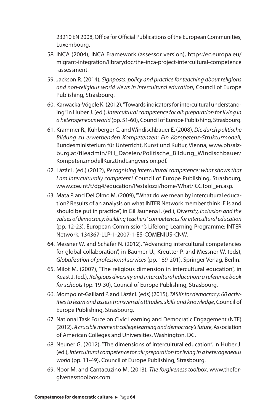23210 EN 2008, Office for Official Publications of the European Communities, Luxembourg.

- 58. INCA (2004), INCA Framework (assessor version), https:/ec.europa.eu/ migrant-integration/librarydoc/the-inca-project-intercultural-competence -assessment.
- 59. Jackson R. (2014), *Signposts: policy and practice for teaching about religions and non-religious world views in intercultural education*, Council of Europe Publishing, Strasbourg.
- 60. Karwacka-Vögele K. (2012), "Towards indicators for intercultural understanding" in Huber J. (ed.), *Intercultural competence for all: preparation for living in a heterogeneous world* (pp. 51-60), Council of Europe Publishing, Strasbourg.
- 61. Krammer R., Kühberger C. and Windischbauer E. (2008), *Die durch politische Bildung zu erwerbenden Kompetenzen: Ein Kompetenz-Strukturmodell*, Bundesministerium für Unterricht, Kunst und Kultur, Vienna, www.phsalzburg.at/fileadmin/PH\_Dateien/Politische\_Bildung\_Windischbauer/ KompetenzmodellKurzUndLangversion.pdf.
- 62. Lázár I. (ed.) (2012), *Recognising intercultural competence: what shows that I am interculturally competent?* Council of Europe Publishing, Strasbourg, www.coe.int/t/dg4/education/Pestalozzi/home/What/ICCTool\_en.asp.
- 63. Mata P. and Del Olmo M. (2009), "What do we mean by intercultural education? Results of an analysis on what INTER Network member think IE is and should be put in practice", in Gil Jaunena I. (ed.), *Diversity, inclusion and the values of democracy: building teachers' competences for intercultural education* (pp. 12-23), European Commission's Lifelong Learning Programme: INTER Network, 134367-LLP-1-2007-1-ES-COMENIUS-CNW.
- 64. Messner W. and Schäfer N. (2012), "Advancing intercultural competencies for global collaboration", in Bäumer U., Kreutter P. and Messner W. (eds), *Globalization of professional services* (pp. 189-201), Springer Verlag, Berlin.
- 65. Milot M. (2007), "The religious dimension in intercultural education", in Keast J. (ed.), *Religious diversity and intercultural education: a reference book for schools* (pp. 19-30), Council of Europe Publishing, Strasbourg.
- 66. Mompoint-Gaillard P. and Lázár I. (eds) (2015), *TASKs for democracy: 60 activities to learn and assess transversal attitudes, skills and knowledge*, Council of Europe Publishing, Strasbourg.
- 67. National Task Force on Civic Learning and Democratic Engagement (NTF) (2012), A crucible moment: college learning and democracy's future, Association of American Colleges and Universities, Washington, DC.
- 68. Neuner G. (2012), "The dimensions of intercultural education", in Huber J. (ed.), *Intercultural competence for all: preparation for living in a heterogeneous world* (pp. 11-49), Council of Europe Publishing, Strasbourg.
- 69. Noor M. and Cantacuzino M. (2013), *The forgiveness toolbox*, www.theforgivenesstoolbox.com.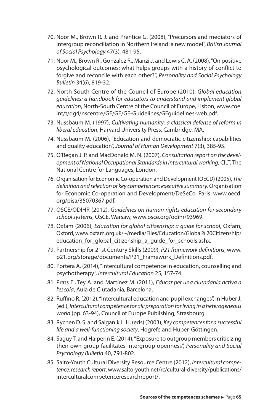- 70. Noor M., Brown R. J. and Prentice G. (2008), "Precursors and mediators of intergroup reconciliation in Northern Ireland: a new model", *British Journal of Social Psychology* 47(3), 481-95.
- 71. Noor M., Brown R., Gonzalez R., Manzi J. and Lewis C. A. (2008), "On positive psychological outcomes: what helps groups with a history of conflict to forgive and reconcile with each other?", *Personality and Social Psychology Bulletin* 34(6), 819-32.
- 72. North-South Centre of the Council of Europe (2010), *Global education guidelines: a handbook for educators to understand and implement global education*, North-South Centre of the Council of Europe, Lisbon, www.coe. int/t/dg4/nscentre/GE/GE/GE-Guidelines/GEguidelines-web.pdf.
- 73. Nussbaum M. (1997), *Cultivating humanity: a classical defense of reform in liberal education*, Harvard University Press, Cambridge, MA.
- 74. Nussbaum M. (2006), "Education and democratic citizenship: capabilities and quality education", *Journal of Human Development* 7(3), 385-95.
- 75. O'Regan J. P. and MacDonald M. N. (2007), *Consultation report on the development of National Occupational Standards in intercultural working*, CILT, The National Centre for Languages, London.
- 76. Organisation for Economic Co-operation and Development (OECD) (2005), *The definition and selection of key competences: executive summary.* Organisation for Economic Co-operation and Development/DeSeCo, Paris. www.oecd. org/pisa/35070367.pdf.
- 77. OSCE/ODIHR (2012), *Guidelines on human rights education for secondary school systems*, OSCE, Warsaw, www.osce.org/odihr/93969.
- 78. Oxfam (2006), *Education for global citizenship: a guide for school*, Oxfam, Oxford, www.oxfam.org.uk/~/media/Files/Education/Global%20Citizenship/ education\_for\_global\_citizenship\_a\_guide\_for\_schools.ashx.
- 79. Partnership for 21st Century Skills (2009), *P21 framework definitions*, www. p21.org/storage/documents/P21\_Framework\_Definitions.pdf.
- 80. Portera A. (2014), "Intercultural competence in education, counselling and psychotherapy", *Intercultural Education* 25, 157-74*.*
- 81. Prats E., Tey A. and Martínez M. (2011), *Educar per una ciutadania activa a l'escola*, Aula de Ciutadania, Barcelona.
- 82. Ruffino R. (2012), "Intercultural education and pupil exchanges", in Huber J. (ed.), *Intercultural competence for all: preparation for living in a heterogeneous world* (pp. 63-94), Council of Europe Publishing, Strasbourg.
- 83. Rychen D. S. and Salganik L. H. (eds) (2003), *Key competences for a successful life and a well-functioning society*, Hogrefe and Huber, Göttingen.
- 84. Saguy T. and Halperin E. (2014), "Exposure to outgroup members criticizing their own group facilitates intergroup openness", *Personality and Social Psychology Bulletin* 40, 791-802.
- 85. Salto-Youth Cultural Diversity Resource Centre (2012), *Intercultural competence: research report*, www.salto-youth.net/rc/cultural-diversity/publications/ interculturalcompetenceresearchreport/.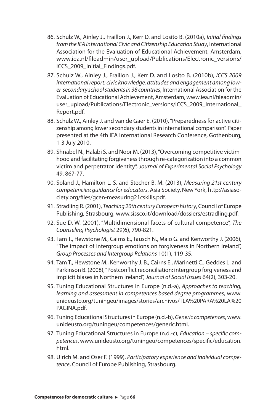- 86. Schulz W., Ainley J., Fraillon J., Kerr D. and Losito B. (2010a), *Initial findings from the IEA International Civic and Citizenship Education Study*, International Association for the Evaluation of Educational Achievement, Amsterdam, www.iea.nl/fileadmin/user\_upload/Publications/Electronic\_versions/ ICCS\_2009\_Initial\_Findings.pdf.
- 87. Schulz W., Ainley J., Fraillon J., Kerr D. and Losito B. (2010b), *ICCS 2009 international report: civic knowledge, attitudes and engagement among lower-secondary school students in 38 countries*, International Association for the Evaluation of Educational Achievement, Amsterdam, www.iea.nl/fileadmin/ user\_upload/Publications/Electronic\_versions/ICCS\_2009\_International Report.pdf.
- 88. Schulz W., Ainley J. and van de Gaer E. (2010), "Preparedness for active citizenship among lower secondary students in international comparison". Paper presented at the 4th IEA International Research Conference, Gothenburg, 1-3 July 2010.
- 89. Shnabel N., Halabi S. and Noor M. (2013), "Overcoming competitive victimhood and facilitating forgiveness through re-categorization into a common victim and perpetrator identity", *Journal of Experimental Social Psychology* 49, 867-77.
- 90. Soland J., Hamilton L. S. and Stecher B. M. (2013), *Measuring 21st century competencies: guidance for educators*, Asia Society,New York, http://asiasociety.org/files/gcen-measuring21cskills.pdf.
- 91. Stradling R. (2001), *Teaching 20th century European history*, Council of Europe Publishing, Strasbourg, www.sissco.it/download/dossiers/estradling.pdf.
- 92. Sue D. W. (2001), "Multidimensional facets of cultural competence", *The Counseling Psychologist* 29(6), 790-821.
- 93. Tam T., Hewstone M., Cairns E., Tausch N., Maio G. and Kenworthy J. (2006), "The impact of intergroup emotions on forgiveness in Northern Ireland", *Group Processes and Intergroup Relations* 10(1), 119-35.
- 94. Tam T., Hewstone M., Kenworthy J. B., Cairns E., Marinetti C., Geddes L. and Parkinson B. (2008), "Postconflict reconciliation: intergroup forgiveness and implicit biases in Northern Ireland", *Journal of Social Issues* 64(2), 303-20.
- 95. Tuning Educational Structures in Europe (n.d.-a), *Approaches to teaching, learning and assessment in competences based degree programmes*, www. unideusto.org/tuningeu/images/stories/archivos/TLA%20PARA%20LA%20 PAGINA.pdf.
- 96. Tuning Educational Structures in Europe (n.d.-b), *Generic competences*, www. unideusto.org/tuningeu/competences/generic.html.
- 97. Tuning Educational Structures in Europe (n.d.-c), *Education specific competences*, www.unideusto.org/tuningeu/competences/specific/education. html.
- 98. Ulrich M. and Oser F. (1999), *Participatory experience and individual competence*, Council of Europe Publishing, Strasbourg.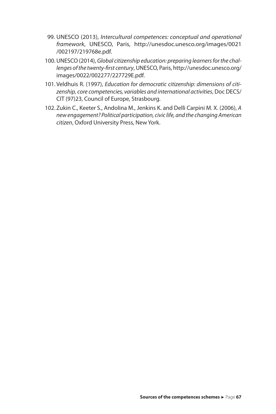- 99. UNESCO (2013), *Intercultural competences: conceptual and operational framework*, UNESCO, Paris, http://unesdoc.unesco.org/images/0021 /002197/219768e.pdf.
- 100.UNESCO (2014), *Global citizenship education: preparing learners for the challenges of the twenty-first century*, UNESCO, Paris, http://unesdoc.unesco.org/ images/0022/002277/227729E.pdf.
- 101. Veldhuis R. (1997), *Education for democratic citizenship: dimensions of citizenship, core competencies, variables and international activities*, Doc DECS/ CIT (97)23, Council of Europe, Strasbourg.
- 102. Zukin C., Keeter S., Andolina M., Jenkins K. and Delli Carpini M. X. (2006), *A new engagement? Political participation, civic life, and the changing American citizen*, Oxford University Press, New York.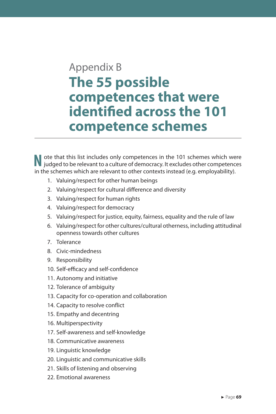## Appendix B **The 55 possible competences that were identified across the 101 competence schemes**

**N** ote that this list includes only competences in the 101 schemes which were judged to be relevant to a culture of democracy. It excludes other competences judged to be relevant to a culture of democracy. It excludes other competences in the schemes which are relevant to other contexts instead (e.g. employability).

- 1. Valuing/respect for other human beings
- 2. Valuing/respect for cultural difference and diversity
- 3. Valuing/respect for human rights
- 4. Valuing/respect for democracy
- 5. Valuing/respect for justice, equity, fairness, equality and the rule of law
- 6. Valuing/respect for other cultures/cultural otherness, including attitudinal openness towards other cultures
- 7. Tolerance
- 8. Civic-mindedness
- 9. Responsibility
- 10. Self-efficacy and self-confidence
- 11. Autonomy and initiative
- 12. Tolerance of ambiguity
- 13. Capacity for co-operation and collaboration
- 14. Capacity to resolve conflict
- 15. Empathy and decentring
- 16. Multiperspectivity
- 17. Self-awareness and self-knowledge
- 18. Communicative awareness
- 19. Linguistic knowledge
- 20. Linguistic and communicative skills
- 21. Skills of listening and observing
- 22. Emotional awareness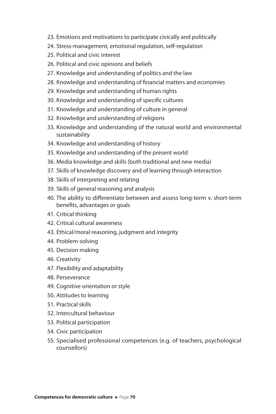- 23. Emotions and motivations to participate civically and politically
- 24. Stress-management, emotional regulation, self-regulation
- 25. Political and civic interest
- 26. Political and civic opinions and beliefs
- 27. Knowledge and understanding of politics and the law
- 28. Knowledge and understanding of financial matters and economies
- 29. Knowledge and understanding of human rights
- 30. Knowledge and understanding of specific cultures
- 31. Knowledge and understanding of culture in general
- 32. Knowledge and understanding of religions
- 33. Knowledge and understanding of the natural world and environmental sustainability
- 34. Knowledge and understanding of history
- 35. Knowledge and understanding of the present world
- 36. Media knowledge and skills (both traditional and new media)
- 37. Skills of knowledge discovery and of learning through interaction
- 38. Skills of interpreting and relating
- 39. Skills of general reasoning and analysis
- 40. The ability to differentiate between and assess long-term v. short-term benefits, advantages or goals
- 41. Critical thinking
- 42. Critical cultural awareness
- 43. Ethical/moral reasoning, judgment and integrity
- 44. Problem-solving
- 45. Decision making
- 46. Creativity
- 47. Flexibility and adaptability
- 48. Perseverance
- 49. Cognitive orientation or style
- 50. Attitudes to learning
- 51. Practical skills
- 52. Intercultural behaviour
- 53. Political participation
- 54. Civic participation
- 55. Specialised professional competences (e.g. of teachers, psychological counsellors)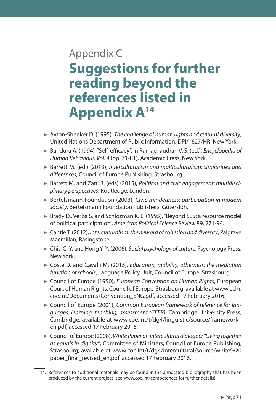## Appendix C **Suggestions for further reading beyond the references listed in Appendix A<sup>14</sup>**

- ► Ayton-Shenker D. (1995), *The challenge of human rights and cultural diversity*, United Nations Department of Public Information, DPI/1627/HR, New York.
- ► Bandura A. (1994), "Self-efficacy", in Ramachaudran V. S. (ed.), *Encyclopedia of Human Behaviour, Vol. 4* (pp. 71-81), Academic Press, New York.
- ► Barrett M. (ed.) (2013), *Interculturalism and multiculturalism: similarities and differences*, Council of Europe Publishing, Strasbourg.
- ► Barrett M. and Zani B. (eds) (2015), *Political and civic engagement: multidisciplinary perspectives*, Routledge, London.
- ► Bertelsmann Foundation (2003), *Civic-mindedness: participation in modern society*, Bertelsmann Foundation Publishers, Gütersloh.
- ► Brady D., Verba S. and Schlozman K. L. (1995), "Beyond SES: a resource model of political participation", *American Political Science Review* 89, 271-94.
- ► Cantle T. (2012), *Interculturalism: the new era of cohesion and diversity*, Palgrave Macmillan, Basingstoke.
- ► Chiu C.-Y. and Hong Y.-Y. (2006), *Social psychology of culture*, Psychology Press, New York.
- ► Coste D. and Cavalli M. (2015), *Education, mobility, otherness: the mediation function of schools*, Language Policy Unit, Council of Europe, Strasbourg.
- ► Council of Europe (1950), *European Convention on Human Rights*, European Court of Human Rights, Council of Europe, Strasbourg, available at www.echr. coe.int/Documents/Convention\_ENG.pdf, accessed 17 February 2016.
- ► Council of Europe (2001), *Common European framework of reference for languages: learning, teaching, assessment (CEFR)*, Cambridge University Press, Cambridge, available at www.coe.int/t/dg4/linguistic/source/framework\_ en.pdf, accessed 17 February 2016.
- ► Council of Europe (2008), *White Paper on intercultural dialogue: "Living together as equals in dignity"*, Committee of Ministers, Council of Europe Publishing, Strasbourg, available at www.coe.int/t/dg4/intercultural/source/white%20 paper\_final\_revised\_en.pdf, accessed 17 February 2016.

<sup>14.</sup> References to additional materials may be found in the annotated bibliography that has been produced by the current project (see www.coe.int/competences for further details).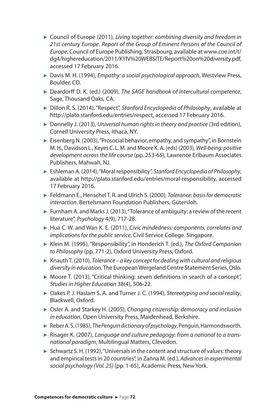- ► Council of Europe (2011), *Living together: combining diversity and freedom in 21st century Europe*. *Report of the Group of Eminent Persons of the Council of Europe*, Council of Europe Publishing, Strasbourg, available at www.coe.int/t/ dg4/highereducation/2011/KYIV%20WEBSITE/Report%20on%20diversity.pdf, accessed 17 February 2016.
- ► Davis M. H. (1994), *Empathy: a social psychological approach*, Westview Press, Boulder, CO.
- ► Deardorff D. K. (ed.) (2009), *The SAGE handbook of intercultural competence*, Sage, Thousand Oaks, CA.
- ► Dillon R. S. (2014), "Respect", *Stanford Encyclopedia of Philosophy*, available at http://plato.stanford.edu/entries/respect, accessed 17 February 2016.
- ► Donnelly J. (2013), *Universal human rights in theory and practice* (3rd edition), Cornell University Press, Ithaca, NY.
- ► Eisenberg N. (2003), "Prosocial behavior, empathy, and sympathy", in Bornstein M. H., Davidson L., Keyes C. L. M. and Moore K. A. (eds) (2003), *Well-being: positive development across the life course* (pp. 253-65), Lawrence Erlbaum Associates Publishers, Mahwah, NJ.
- ► Eshleman A. (2014), "Moral responsibility", *Stanford Encyclopedia of Philosophy*, available at http://plato.stanford.edu/entries/moral-responsibility, accessed 17 February 2016.
- ► Feldmann E., Henschel T. R. and Ulrich S. (2000), *Tolerance: basis for democratic interaction*. Bertelsmann Foundation Publishers, Gütersloh.
- ► Furnham A. and Marks J. (2013), "Tolerance of ambiguity: a review of the recent literature", *Psychology* 4(9), 717-28.
- ► Hua C. W. and Wan K. E. (2011), *Civic mindedness: components, correlates and implications for the public service*, Civil Service College. Singapore.
- ► Klein M. (1995), "Responsibility", in Honderich T. (ed.), *The Oxford Companion to Philosophy* (pp. 771-2), Oxford University Press, Oxford.
- ► Knauth T. (2010), *Tolerance a key concept for dealing with cultural and religious diversity in education*, The European Wergeland Centre Statement Series, Oslo.
- $\triangleright$  Moore T. (2013), "Critical thinking: seven definitions in search of a concept", *Studies in Higher Education* 38(4), 506-22.
- ► Oakes P. J. Haslam S. A. and Turner J. C. (1994), *Stereotyping and social reality*, Blackwell, Oxford.
- ► Osler A. and Starkey H. (2005), *Changing citizenship: democracy and inclusion in education*, Open University Press, Maidenhead, Berkshire.
- ► Reber A. S. (1985), *The Penguin dictionary of psychology*, Penguin, Harmondsworth.
- ► Risager K. (2007), *Language and culture pedagogy: from a national to a transnational paradigm*, Multilingual Matters, Clevedon.
- ► Schwartz S. H. (1992), "Universals in the content and structure of values: theory and empirical tests in 20 countries", in Zanna M. (ed.), *Advances in experimental social psychology (Vol. 25)* (pp. 1-65), Academic Press, New York.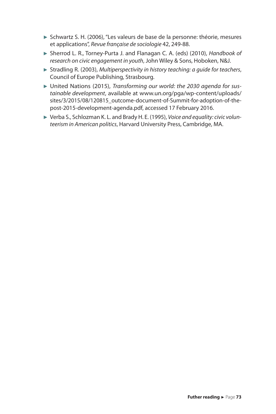- ► Schwartz S. H. (2006), "Les valeurs de base de la personne: théorie, mesures et applications", *Revue française de sociologie* 42, 249-88.
- ► Sherrod L. R., Torney-Purta J. and Flanagan C. A. (eds) (2010), *Handbook of research on civic engagement in youth*, John Wiley & Sons, Hoboken, N&J.
- ► Stradling R. (2003), *Multiperspectivity in history teaching: a guide for teachers*, Council of Europe Publishing, Strasbourg.
- ► United Nations (2015), *Transforming our world: the 2030 agenda for sustainable development*, available at www.un.org/pga/wp-content/uploads/ sites/3/2015/08/120815\_outcome-document-of-Summit-for-adoption-of-thepost-2015-development-agenda.pdf, accessed 17 February 2016.
- ► Verba S., Schlozman K. L. and Brady H. E. (1995), *Voice and equality: civic volunteerism in American politics*, Harvard University Press, Cambridge, MA.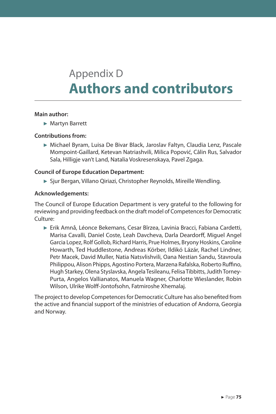# Appendix D **Authors and contributors**

# **Main author:**

► Martyn Barrett

# **Contributions from:**

► Michael Byram, Luisa De Bivar Black, Jaroslav Faltyn, Claudia Lenz, Pascale Mompoint-Gaillard, Ketevan Natriashvili, Milica Popović, Câlin Rus, Salvador Sala, Hilligje van't Land, Natalia Voskresenskaya, Pavel Zgaga.

# **Council of Europe Education Department:**

► Sjur Bergan, Villano Qiriazi, Christopher Reynolds, Mireille Wendling.

# **Acknowledgements:**

The Council of Europe Education Department is very grateful to the following for reviewing and providing feedback on the draft model of Competences for Democratic Culture:

► Erik Amnå, Léonce Bekemans, Cesar Bîrzea, Lavinia Bracci, Fabiana Cardetti, Marisa Cavalli, Daniel Coste, Leah Davcheva, Darla Deardorff, Miguel Angel Garcia Lopez, Rolf Gollob, Richard Harris, Prue Holmes, Bryony Hoskins, Caroline Howarth, Ted Huddlestone, Andreas Körber, Ildikó Lázár, Rachel Lindner, Petr Macek, David Muller, Natia Natsvlishvili, Oana Nestian Sandu, Stavroula Philippou, Alison Phipps, Agostino Portera, Marzena Rafalska, Roberto Ruffino, Hugh Starkey, Olena Styslavska, Angela Tesileanu, Felisa Tibbitts, Judith Torney-Purta, Angelos Vallianatos, Manuela Wagner, Charlotte Wieslander, Robin Wilson, Ulrike Wolff-Jontofsohn, Fatmiroshe Xhemalaj.

The project to develop Competences for Democratic Culture has also benefited from the active and financial support of the ministries of education of Andorra, Georgia and Norway.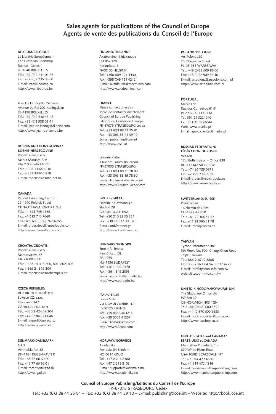# **Sales agents for publications of the Council of Europe Agents de vente des publications du Conseil de l'Europe**

#### **BELGIUM/BELGIQUE**

La Librairie Européenne - The European Bookshop Rue de l'Orme, 1 BE-1040 BRUXELLES Tel.: +32 (0)2 231 04 35 Fax: +32 (0)2 735 08 60 E-mail: info@libeurop.eu http://www.libeurop.be

Jean De Lannoy/DL Services Avenue du Roi 202 Koningslaan BE-1190 BRUXELLES Tel.: +32 (0)2 538 43 08 Fax: +32 (0)2 538 08 41 E-mail: jean.de.lannoy@dl-servi.com http://www.jean-de-lannoy.be

## **BoSnIA And HErzEGovInA/**

**BoSnIE-HErzéGovInE** Robert's Plus d.o.o. Marka Maruliça 2/V BA-71000 SARAJEVO Tel.: + 387 33 640 818 Fax: + 387 33 640 818 E-mail: robertsplus@bih.net.ba

#### **CAnAdA**

Renouf Publishing Co. Ltd. 22-1010 Polytek Street CDN-OTTAWA, ONT K1J 9J1 Tel.: +1 613 745 2665 Fax: +1 613 745 7660 Toll-Free Tel.: (866) 767-6766 E-mail: order.dept@renoufbooks.com http://www.renoufbooks.com

### **CroAtIA/CroAtIE**

Robert's Plus d.o.o. Marasoviçeva 67 HR-21000 SPLiT Tel.: + 385 21 315 800, 801, 802, 803 Fax: + 385 21 315 804 E-mail: robertsplus@robertsplus.hr

#### **CzECH rEPUBLIC/**

**réPUBLIQUE tCHÈQUE** Suweco CZ, s.r.o. Klecakova 347 CZ-180 21 PRAHA 9 Tel.: +420 2 424 59 204 Fax: +420 2 848 21 646 E-mail: import@suweco.cz http://www.suweco.cz

#### **dEnMArK/dAnEMArK** GAD

Vimmelskaftet 32 DK-1161 KØBENHAVN K  $Tel: +45 77 66 60 00$ Fax: +45 77 66 60 01 E-mail: reception@gad.dk http://www.gad.dk

#### **FInLAnd/FInLAndE**

Akateeminen Kirjakauppa PO Box 128 Keskuskatu 1 Fi-00100 HELSiNKi Tel.: +358 (0)9 121 4430 Fax: +358 (0)9 121 4242 E-mail: akatilaus@akateeminen.com http://www.akateeminen.com

## **FrAnCE**

Please contact directly / Merci de contacter directement Council of Europe Publishing Editions du Conseil de l'Europe FR-67075 STRASBOURG cedex Tel.: +33 (0)3 88 41 25 81 Fax: +33 (0)3 88 41 39 10 E-mail: publishing@coe.int http://book.coe.int

#### Librairie Kléber

1 rue des Francs-Bourgeois FR-67000 STRASBOURG Tel.: +33 (0)3 88 15 78 88 Fax: +33 (0)3 88 15 78 80 E-mail: librairie-kleber@coe.int http://www.librairie-kleber.com

#### **GrEECE/GrÈCE**

Librairie Kauffmann s.a. Stadiou 28 GR-105 64 ATHiNAi Tel.: +30 210 32 55 321 Fax.: +30 210 32 30 320 E-mail: ord@otenet.gr http://www.kauffmann.gr

#### **HUnGArY/HonGrIE**

Euro info Service Pannónia u. 58. PF. 1039 HU-1136 BUDAPEST Tel.: +36 1 329 2170 Fax: +36 1 349 2053 E-mail: euroinfo@euroinfo.hu http://www.euroinfo.hu

## **ItALY/ItALIE**

Licosa SpA Via Duca di Calabria, 1/1 iT-50125 FiRENZE Tel.: +39 0556 483215 Fax: +39 0556 41257 E-mail: licosa@licosa.com http://www.licosa.com

#### **norWAY/norvÈGE**

Akademika Postboks 84 Blindern NO-0314 OSLO Tel.: +47 2 218 8100 Fax: +47 2 218 8103 E-mail: support@akademika.no http://www.akademika.no

#### **PoLAnd/PoLoGnE**

Ars Polona JSC 25 Obroncow Street PL-03-933 WARSZAWA Tel.: +48 (0)22 509 86 00 Fax: +48 (0)22 509 86 10 E-mail: arspolona@arspolona.com.pl http://www.arspolona.com.pl

## **PortUGAL**

Marka Lda Rua dos Correeiros 61-3 PT-1100-162 LiSBOA Tel: 351 21 3224040 Fax: 351 21 3224044 Web: www.marka.pt E mail: apoio.clientes@marka.pt

## **rUSSIAn FEdErAtIon/**

**FédérAtIon dE rUSSIE** Ves Mir 17b, Butlerova ul. - Office 338 RU-117342 MOSCOW Tel.: +7 495 739 0971 Fax: +7 495 739 0971 E-mail: orders@vesmirbooks.ru http://www.vesmirbooks.ru

#### **SWItzErLAnd/SUISSE**

Planetis Sàrl 16 chemin des Pins CH-1273 ARZiER Tel.: +41 22 366 51 77 Fax: +41 22 366 51 78 E-mail: info@planetis.ch

## **tAIWAn**

Tycoon information inc. 5th Floor, No. 500, Chang-Chun Road Taipei, Taiwan Tel.: 886-2-8712 8886 Fax: 886-2-8712 4747, 8712 4777 E-mail: info@tycoon-info.com.tw orders@tycoon-info.com.tw

#### **UnItEd KInGdoM/roYAUME-UnI**

The Stationery Office Ltd PO Box 29 GB-NORWiCH NR3 1GN Tel.: +44 (0)870 600 5522 Fax: +44 (0)870 600 5533 E-mail: book.enquiries@tso.co.uk http://www.tsoshop.co.uk

## **UNITED STATES and CANADA/**

**étAtS-UnIS et CAnAdA** Manhattan Publishing Co 670 White Plains Road USA-10583 SCARSDALE, NY Tel: + 1 914 472 4650 Fax: +1 914 472 4316 E-mail: coe@manhattanpublishing.com http://www.manhattanpublishing.com

**Council of Europe Publishing/Editions du Conseil de l'Europe** FR-67075 STRASBOURG Cedex Tel.: +33 (0)3 88 41 25 81 – Fax: +33 (0)3 88 41 39 10 – E-mail: publishing@coe.int – Website: http://book.coe.int